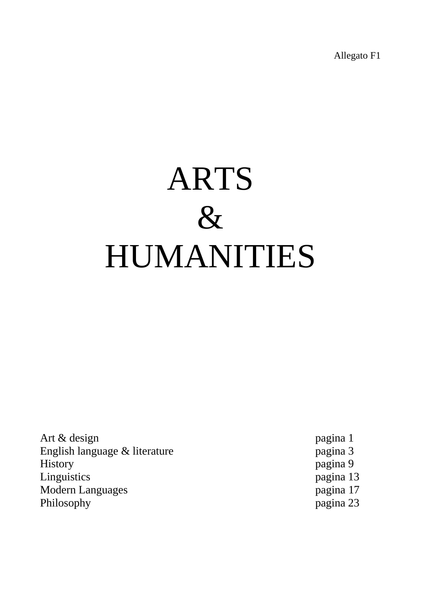Allegato F1

## ARTS & HUMANITIES

Art & design pagina 1 English language & literature pagina 3<br>
History pagina 9 Linguistics pagina 13 Modern Languages pagina 17 Philosophy pagina 23

pagina 9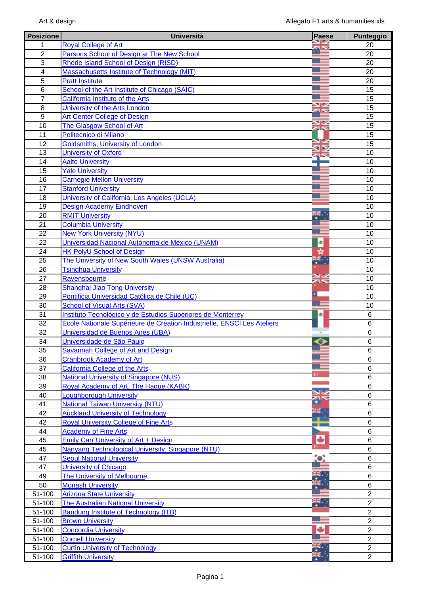| <b>Posizione</b> | <b>Università</b>                                                       | Paese        | <b>Punteggio</b> |
|------------------|-------------------------------------------------------------------------|--------------|------------------|
| 1.               | <b>Royal College of Art</b>                                             |              | 20               |
| $\overline{2}$   | Parsons School of Design at The New School                              |              | 20               |
| 3                | Rhode Island School of Design (RISD)                                    |              | 20               |
| 4                | Massachusetts Institute of Technology (MIT)                             |              | 20               |
| 5                | <b>Pratt Institute</b>                                                  |              | 20               |
| 6                | School of the Art Institute of Chicago (SAIC)                           |              | 15               |
| $\overline{7}$   | California Institute of the Arts                                        |              | 15               |
| 8                | University of the Arts London                                           |              | 15               |
| 9                | Art Center College of Design                                            |              | 15               |
| 10               | The Glasgow School of Art                                               | <b>ZIN</b>   | 15               |
| 11               | Politecnico di Milano                                                   |              | 15               |
| 12               | Goldsmiths, University of London                                        |              | 15               |
| 13               | <b>University of Oxford</b>                                             |              | 10               |
| 14               | <b>Aalto University</b>                                                 |              | 10               |
| 15               | <b>Yale University</b>                                                  |              | 10               |
| 16               | <b>Carnegie Mellon University</b>                                       |              | 10               |
| 17               | <b>Stanford University</b>                                              |              | 10               |
| 18               | University of California, Los Angeles (UCLA)                            |              | 10               |
| 19               | <b>Design Academy Eindhoven</b>                                         |              | 10               |
| 20               | <b>RMIT University</b>                                                  |              | 10               |
| 21               | <b>Columbia University</b>                                              |              | 10               |
| 22               | <b>New York University (NYU)</b>                                        |              | 10               |
| 22               | Universidad Nacional Autónoma de México (UNAM)                          | ®            | 10               |
| 24               | <b>HK PolyU School of Design</b>                                        | sk.          | 10               |
| 25               | The University of New South Wales (UNSW Australia)                      | 4            | 10               |
| 26               | <b>Tsinghua University</b>                                              |              | 10               |
| 27               | Ravensbourne                                                            | ≫<br>≫       | 10               |
| 28               | Shanghai Jiao Tong University                                           |              | 10               |
| 29               | Pontificia Universidad Católica de Chile (UC)                           | ٠.           | 10               |
| 30               | <b>School of Visual Arts (SVA)</b>                                      |              | 10               |
| 31               | Instituto Tecnológico y de Estudios Superiores de Monterrey             | æ.           | 6                |
| 32               | École Nationale Supérieure de Création Industrielle, ENSCI Les Ateliers |              | $6\phantom{1}$   |
| 32               | Universidad de Buenos Aires (UBA)                                       |              | 6                |
| 34               | Universidade de São Paulo                                               | ⊜            | 6                |
| 35               | Savannah College of Art and Design                                      |              | 6                |
| 36               | <b>Cranbrook Academy of Art</b>                                         |              | 6                |
| 37               | <b>California College of the Arts</b>                                   |              | 6                |
| 38               | <b>National University of Singapore (NUS)</b>                           |              | 6                |
| 39               | Royal Academy of Art, The Hague (KABK)                                  |              | 6                |
| 40               | Loughborough University                                                 |              | 6                |
| 41               | <b>National Taiwan University (NTU)</b>                                 |              | 6                |
| 42               | <b>Auckland University of Technology</b>                                | NIM<br>MNG 1 | 6                |
| 42               | <b>Royal University College of Fine Arts</b>                            | п.           | 6                |
| 44               | <b>Academy of Fine Arts</b>                                             |              | 6                |
| 45               | Emily Carr University of Art + Design                                   | ٠            | 6                |
| 45               | Nanyang Technological University, Singapore (NTU)                       |              | 6                |
| 47               | <b>Seoul National University</b>                                        | $\bullet$    | 6                |
| 47               | <b>University of Chicago</b>                                            |              | 6                |
| 49               | The University of Melbourne                                             |              | 6                |
| 50               | <b>Monash University</b>                                                |              | 6                |
| 51-100           | <b>Arizona State University</b>                                         |              | $\overline{2}$   |
| 51-100           | <b>The Australian National University</b>                               | Ķ.           | $\overline{2}$   |
| 51-100           | <b>Bandung Institute of Technology (ITB)</b>                            |              | $\overline{2}$   |
| 51-100           | <b>Brown University</b>                                                 |              | $\overline{2}$   |
| 51-100           | <b>Concordia University</b>                                             |              | $\overline{2}$   |
| 51-100           | <b>Cornell University</b>                                               |              | $\overline{2}$   |
| 51-100           | <b>Curtin University of Technology</b>                                  |              | $\overline{2}$   |
| 51-100           | <b>Griffith University</b>                                              |              | $\overline{2}$   |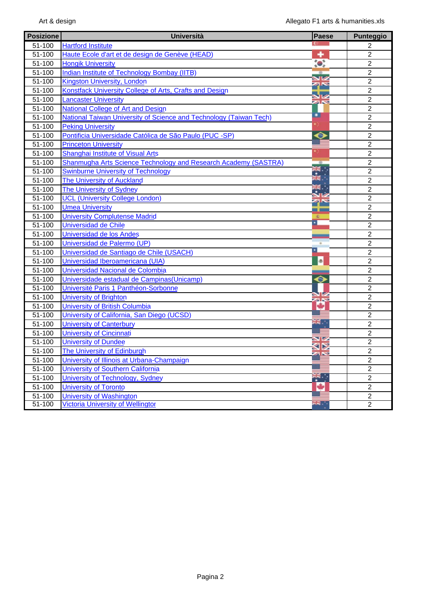| <b>Posizione</b> | <b>Università</b>                                                  | <b>Paese</b>          | <b>Punteggio</b> |
|------------------|--------------------------------------------------------------------|-----------------------|------------------|
| 51-100           | <b>Hartford Institute</b>                                          |                       | $\overline{2}$   |
| 51-100           | Haute Ecole d'art et de design de Genève (HEAD)                    | ٠                     | $\overline{2}$   |
| 51-100           | <b>Hongik University</b>                                           | $\bullet$             | $\overline{2}$   |
| 51-100           | <b>Indian Institute of Technology Bombay (IITB)</b>                |                       | $\overline{2}$   |
| 51-100           | <b>Kingston University, London</b>                                 | $\mathbb{Z}^{\infty}$ | $\overline{2}$   |
| 51-100           | Konstfack University College of Arts, Crafts and Design            |                       | $\overline{2}$   |
| 51-100           | <b>Lancaster University</b>                                        | <b>ZAN</b>            | $\overline{2}$   |
| 51-100           | <b>National College of Art and Design</b>                          |                       | $\overline{2}$   |
| 51-100           | National Taiwan University of Science and Technology (Taiwan Tech) | ▫                     | $\overline{2}$   |
| 51-100           | <b>Peking University</b>                                           |                       | $\overline{2}$   |
| 51-100           | Pontificia Universidade Católica de São Paulo (PUC -SP)            | $\bm{\circ}$          | $\overline{2}$   |
| 51-100           | <b>Princeton University</b>                                        |                       | $\overline{2}$   |
| 51-100           | <b>Shanghai Institute of Visual Arts</b>                           |                       | $\overline{2}$   |
| 51-100           | Shanmugha Arts Science Technology and Research Academy (SASTRA)    | $\circ$               | $\overline{2}$   |
| 51-100           | <b>Swinburne University of Technology</b>                          | 米<br>米·               | $\overline{c}$   |
| 51-100           | The University of Auckland                                         |                       | $\overline{2}$   |
| 51-100           | <b>The University of Sydney</b>                                    |                       | $\overline{2}$   |
| 51-100           | <b>UCL (University College London)</b>                             | ąs                    | $\overline{2}$   |
| 51-100           | <b>Umea University</b>                                             | الكار                 | $\overline{c}$   |
| 51-100           | <b>University Complutense Madrid</b>                               |                       | $\overline{2}$   |
| 51-100           | Universidad de Chile                                               | ×                     | $\overline{2}$   |
| 51-100           | Universidad de los Andes                                           |                       | $\overline{2}$   |
| 51-100           | Universidad de Palermo (UP)                                        |                       | $\sqrt{2}$       |
| 51-100           | Universidad de Santiago de Chile (USACH)                           | 츼                     | $\overline{2}$   |
| 51-100           | Universidad Iberoamericana (UIA)                                   | <sup>®</sup>          | $\overline{2}$   |
| 51-100           | Universidad Nacional de Colombia                                   |                       | $\overline{2}$   |
| 51-100           | Universidade estadual de Campinas (Unicamp)                        | $\bullet$             | $\overline{2}$   |
| 51-100           | Université Paris 1 Panthéon-Sorbonne                               |                       | $\overline{2}$   |
| 51-100           | <b>University of Brighton</b>                                      | <b>zis</b>            | $\overline{2}$   |
| 51-100           | University of British Columbia                                     | ٠                     | $\overline{2}$   |
| 51-100           | University of California, San Diego (UCSD)                         |                       | $\overline{2}$   |
| 51-100           | <b>University of Canterbury</b>                                    | ang -                 | $\overline{2}$   |
| 51-100           | <b>University of Cincinnati</b>                                    |                       | $\overline{2}$   |
| 51-100           | <b>University of Dundee</b>                                        |                       | $\overline{2}$   |
| 51-100           | <b>The University of Edinburgh</b>                                 | ≤⊠<br><b>ZAN</b>      | $\overline{2}$   |
| 51-100           | University of Illinois at Urbana-Champaign                         |                       | $\overline{2}$   |
| 51-100           | <b>University of Southern California</b>                           |                       | $\overline{2}$   |
| 51-100           | University of Technology, Sydney                                   | ॕ                     | $\overline{2}$   |
| 51-100           | <b>University of Toronto</b>                                       | Ч                     | $\overline{2}$   |
| 51-100           | <b>University of Washington</b>                                    |                       | $\overline{2}$   |
| 51-100           | <b>Victoria University of Wellingtor</b>                           | я¥.                   | $\overline{2}$   |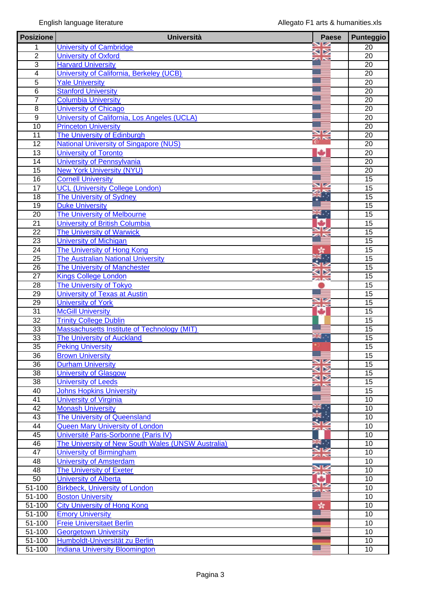| <b>Posizione</b> | <b>Università</b>                                  | <b>Paese</b>     | <b>Punteggio</b> |
|------------------|----------------------------------------------------|------------------|------------------|
| 1                | <b>University of Cambridge</b>                     |                  | 20               |
| $\overline{2}$   | <b>University of Oxford</b>                        | $\triangleright$ | $\overline{20}$  |
| $\overline{3}$   | <b>Harvard University</b>                          |                  | 20               |
| $\overline{4}$   | University of California, Berkeley (UCB)           |                  | 20               |
| $\overline{5}$   | <b>Yale University</b>                             |                  | $\overline{20}$  |
| $\overline{6}$   | <b>Stanford University</b>                         |                  | $\overline{20}$  |
| $\overline{7}$   | <b>Columbia University</b>                         |                  | 20               |
| $\overline{8}$   | <b>University of Chicago</b>                       |                  | $\overline{20}$  |
| $\overline{9}$   | University of California, Los Angeles (UCLA)       |                  | $\overline{20}$  |
| $\overline{10}$  | <b>Princeton University</b>                        |                  | 20               |
| 11               | The University of Edinburgh                        | NK<br>25         | 20               |
| 12               | <b>National University of Singapore (NUS)</b>      |                  | $\overline{20}$  |
| $\overline{13}$  | <b>University of Toronto</b>                       | ÷                | $\overline{20}$  |
| 14               | University of Pennsylvania                         |                  | 20               |
| 15               | <b>New York University (NYU)</b>                   |                  | $\overline{20}$  |
| 16               | <b>Cornell University</b>                          |                  | 15               |
| 17               | <b>UCL (University College London)</b>             |                  | 15               |
| $\overline{18}$  | <b>The University of Sydney</b>                    |                  | $\overline{15}$  |
| 19               | <b>Duke University</b>                             |                  | 15               |
| $\overline{20}$  | The University of Melbourne                        | ₩.,              | $\overline{15}$  |
| $\overline{21}$  | University of British Columbia                     | ÷                | $\overline{15}$  |
| $\overline{22}$  | <b>The University of Warwick</b>                   |                  | $\overline{15}$  |
| $\overline{23}$  | <b>University of Michigan</b>                      |                  | $\overline{15}$  |
| $\overline{24}$  | The University of Hong Kong                        |                  | 15               |
| $\overline{25}$  | <b>The Australian National University</b>          |                  | $\overline{15}$  |
| 26               | The University of Manchester                       |                  | $\overline{15}$  |
| $\overline{27}$  | <b>Kings College London</b>                        |                  | 15               |
| 28               | The University of Tokyo                            |                  | 15               |
| 29               | <b>University of Texas at Austin</b>               |                  | $\overline{15}$  |
| 29               | <b>University of York</b>                          | a N              | 15               |
| $\overline{31}$  | <b>McGill University</b>                           | $\frac{d}{dt}$   | 15               |
| 32               | <b>Trinity College Dublin</b>                      |                  | 15               |
| 33               | Massachusetts Institute of Technology (MIT)        |                  | $\overline{15}$  |
| $\overline{33}$  | <b>The University of Auckland</b>                  | aug.<br>nive     | $\overline{15}$  |
| 35               | <b>Peking University</b>                           |                  | 15               |
| $\overline{36}$  | <b>Brown University</b>                            |                  | $\overline{15}$  |
| $\overline{36}$  | <b>Durham University</b>                           |                  | 15               |
| 38               | University of Glasgow                              |                  | 15               |
| 38               | <b>University of Leeds</b>                         |                  | 15               |
| 40               | <b>Johns Hopkins University</b>                    |                  | $\overline{15}$  |
| $\overline{41}$  | <b>University of Virginia</b>                      |                  | $\overline{10}$  |
| 42               | <b>Monash University</b>                           |                  | 10               |
| 43               | The University of Queensland                       |                  | 10               |
| 44               | Queen Mary University of London                    |                  | 10               |
| 45               | Université Paris-Sorbonne (Paris IV)               |                  | 10               |
| 46               | The University of New South Wales (UNSW Australia) | . .              | 10               |
| 47               | <b>University of Birmingham</b>                    |                  | 10               |
| 48               | <b>University of Amsterdam</b>                     |                  | 10               |
| 48               | <b>The University of Exeter</b>                    | a N              | 10               |
| 50               | <b>University of Alberta</b>                       | ٠                | $\overline{10}$  |
| 51-100           | <b>Birkbeck, University of London</b>              |                  | 10               |
| 51-100           | <b>Boston University</b>                           |                  | 10               |
| 51-100           | <b>City University of Hong Kong</b>                | st.              | 10               |
| 51-100           | <b>Emory University</b>                            |                  | 10               |
| 51-100           | <b>Freie Universitaet Berlin</b>                   |                  | $\overline{10}$  |
| 51-100           | <b>Georgetown University</b>                       |                  | 10               |
| $51 - 100$       | Humboldt-Universität zu Berlin                     |                  | 10               |
| $51 - 100$       | <b>Indiana University Bloomington</b>              |                  | $\overline{10}$  |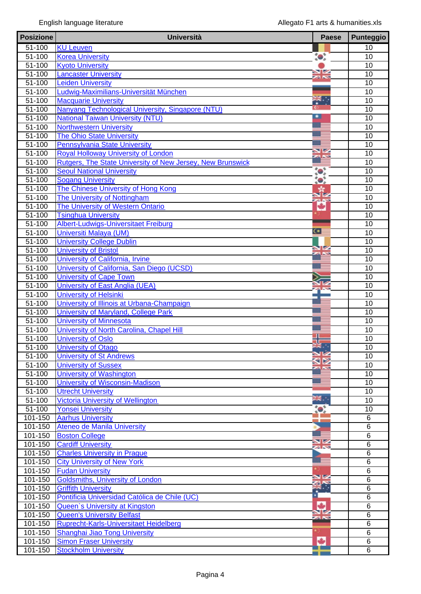| <b>Posizione</b>         | <b>Università</b>                                                    | <b>Paese</b>                 | <b>Punteggio</b>                   |
|--------------------------|----------------------------------------------------------------------|------------------------------|------------------------------------|
| 51-100                   | <b>KU Leuven</b>                                                     |                              | 10                                 |
| $51 - 100$               | <b>Korea University</b>                                              | $\bullet$                    | 10                                 |
| $51 - 100$               | <b>Kyoto University</b>                                              |                              | $\overline{10}$                    |
| $51 - 100$               | <b>Lancaster University</b>                                          | $\blacksquare$<br><b>ZIN</b> | 10                                 |
| $51 - 100$               | <b>Leiden University</b>                                             |                              | 10                                 |
| $51 - 100$               | Ludwig-Maximilians-Universität München                               |                              | 10                                 |
| $51 - 100$               | <b>Macquarie University</b>                                          | <b>TK TH</b>                 | 10                                 |
| 51-100                   | Nanyang Technological University, Singapore (NTU)                    |                              | 10                                 |
| $51 - 100$               | <b>National Taiwan University (NTU)</b>                              |                              | 10                                 |
| $51 - 100$               | <b>Northwestern University</b>                                       |                              | $\overline{10}$                    |
| $51 - 100$               | <b>The Ohio State University</b>                                     |                              | 10                                 |
| 51-100                   | <b>Pennsylvania State University</b>                                 |                              | 10                                 |
| $51 - 100$               | Royal Holloway University of London                                  |                              | 10                                 |
| $51 - 100$               | Rutgers, The State University of New Jersey, New Brunswick           |                              | 10                                 |
| $51 - 100$               | <b>Seoul National University</b>                                     | $\bullet$                    | 10                                 |
| $\frac{1}{51-100}$       | <b>Sogang University</b>                                             | $\bullet$                    | 10                                 |
| $51 - 100$               | The Chinese University of Hong Kong                                  |                              | 10                                 |
| $51 - 100$               | The University of Nottingham                                         | a ki                         | 10                                 |
| 51-100                   | The University of Western Ontario                                    | ÷                            | 10                                 |
| $51 - 100$               | <b>Tsinghua University</b>                                           |                              | $\overline{10}$                    |
| $51 - 100$               | Albert-Ludwigs-Universitaet Freiburg                                 |                              | $\overline{10}$                    |
| 51-100                   | Universiti Malaya (UM)                                               | $\bullet$ :                  | 10                                 |
| 51-100                   | <b>University College Dublin</b>                                     |                              | 10                                 |
| $51 - 100$               | <b>University of Bristol</b>                                         |                              | $\overline{10}$                    |
| $51 - 100$               | University of California, Irvine                                     |                              | 10                                 |
| 51-100                   | University of California, San Diego (UCSD)                           |                              | 10                                 |
| $51 - 100$               | <b>University of Cape Town</b>                                       |                              | 10                                 |
| $51 - 100$               | University of East Anglia (UEA)                                      |                              | $\overline{10}$                    |
| 51-100                   | <b>University of Helsinki</b>                                        |                              | 10                                 |
| $51 - 100$               | University of Illinois at Urbana-Champaign                           |                              | 10                                 |
| $51 - 100$               | <b>University of Maryland, College Park</b>                          |                              | 10                                 |
| $51 - 100$               | <b>University of Minnesota</b>                                       |                              | 10                                 |
| $51 - 100$               | University of North Carolina, Chapel Hill                            |                              | 10                                 |
| $51 - 100$               | <b>University of Oslo</b>                                            |                              | 10                                 |
| $51 - 100$               | <b>University of Otago</b>                                           |                              | 10                                 |
| 51-100                   | <b>University of St Andrews</b>                                      |                              | 10                                 |
| 51-100                   | <b>University of Sussex</b>                                          |                              | 10                                 |
| 51-100                   | <b>University of Washington</b>                                      |                              | 10                                 |
| $51 - 100$               | <b>University of Wisconsin-Madison</b>                               |                              | $\overline{10}$                    |
| 51-100                   | <b>Utrecht University</b>                                            | 温度.                          | 10                                 |
| $51 - 100$<br>$51 - 100$ | <b>Victoria University of Wellington</b><br><b>Yonsei University</b> |                              | 10<br>10                           |
|                          | <b>Aarhus University</b>                                             | $\bullet$                    |                                    |
| 101-150<br>101-150       | <b>Ateneo de Manila University</b>                                   |                              | $6\phantom{1}6$<br>$6\phantom{1}6$ |
| 101-150                  | <b>Boston College</b>                                                |                              | $\overline{6}$                     |
| 101-150                  | <b>Cardiff University</b>                                            | VZ                           | $\overline{6}$                     |
| 101-150                  | <b>Charles University in Prague</b>                                  |                              | $\,6$                              |
| 101-150                  | <b>City University of New York</b>                                   |                              | $\overline{6}$                     |
| 101-150                  | <b>Fudan University</b>                                              |                              | $\overline{6}$                     |
| 101-150                  | <b>Goldsmiths, University of London</b>                              |                              | $6\phantom{1}6$                    |
| 101-150                  | <b>Griffith University</b>                                           |                              | 6                                  |
| 101-150                  | Pontificia Universidad Católica de Chile (UC)                        |                              | $\overline{6}$                     |
| 101-150                  | <b>Queen's University at Kingston</b>                                |                              | $\overline{6}$                     |
| 101-150                  | <b>Queen's University Belfast</b>                                    |                              | 6                                  |
| 101-150                  | <b>Ruprecht-Karls-Universitaet Heidelberg</b>                        |                              | $6\phantom{1}$                     |
| 101-150                  | Shanghai Jiao Tong University                                        |                              | 6                                  |
| 101-150                  | <b>Simon Fraser University</b>                                       | ٠                            | $6\phantom{1}6$                    |
| 101-150                  | <b>Stockholm University</b>                                          |                              | $\overline{6}$                     |
|                          |                                                                      |                              |                                    |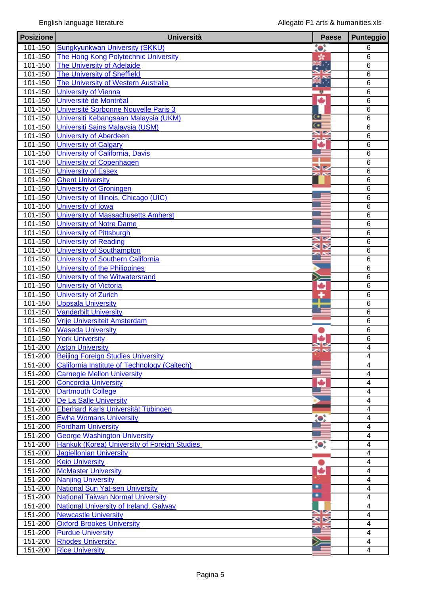| <b>Posizione</b>       | <b>Università</b>                                                                        | <b>Paese</b> | <b>Punteggio</b>        |
|------------------------|------------------------------------------------------------------------------------------|--------------|-------------------------|
| 101-150                | <b>Sungkyunkwan University (SKKU)</b>                                                    | $\bullet$ :  | 6                       |
| 101-150                | The Hong Kong Polytechnic University                                                     |              | $6\phantom{1}6$         |
| 101-150                | The University of Adelaide                                                               | K.           | $\overline{6}$          |
| 101-150                | <b>The University of Sheffield</b>                                                       |              | $\overline{6}$          |
| 101-150                | The University of Western Australia                                                      |              | $6\phantom{1}6$         |
| 101-150                | <b>University of Vienna</b>                                                              | 整            | $6\phantom{1}6$         |
| 101-150                | Université de Montréal                                                                   | ÷            | $6\phantom{1}6$         |
| 101-150                | Université Sorbonne Nouvelle Paris 3                                                     |              | $6\phantom{1}6$         |
| 101-150                | Universiti Kebangsaan Malaysia (UKM)                                                     | Œ            | $6\phantom{1}6$         |
| $101 - 150$            | Universiti Sains Malaysia (USM)                                                          | $\bullet$    | $\overline{6}$          |
| 101-150                | <b>University of Aberdeen</b>                                                            | XX           | $\overline{6}$          |
| 101-150                | <b>University of Calgary</b>                                                             |              | 6                       |
| 101-150                | University of California, Davis                                                          |              | $\overline{6}$          |
| 101-150                | <b>University of Copenhagen</b>                                                          |              | $\overline{6}$          |
| 101-150                | <b>University of Essex</b>                                                               |              | $6\phantom{1}6$         |
| 101-150                | <b>Ghent University</b>                                                                  |              | $6\phantom{1}6$         |
| 101-150                | <b>University of Groningen</b>                                                           |              | $\overline{6}$          |
| 101-150                | University of Illinois, Chicago (UIC)                                                    |              | $\overline{6}$          |
| 101-150                | University of Iowa                                                                       |              | 6                       |
| 101-150                | University of Massachusetts Amherst                                                      |              | $\overline{6}$          |
| $101 - 150$            | <b>University of Notre Dame</b>                                                          |              | 6                       |
| 101-150                | <b>University of Pittsburgh</b>                                                          |              | $6\phantom{1}6$         |
| 101-150                | <b>University of Reading</b>                                                             |              | $6\phantom{1}6$         |
| 101-150                | <b>University of Southampton</b>                                                         |              | 6                       |
| 101-150                | University of Southern California                                                        |              | 6                       |
| 101-150                | University of the Philippines                                                            |              | 6                       |
| 101-150                | University of the Witwatersrand                                                          |              | $\overline{6}$          |
| 101-150                | <b>University of Victoria</b>                                                            | ٠            | $\overline{6}$          |
| 101-150                | <b>University of Zurich</b>                                                              |              | $6\phantom{1}6$         |
| 101-150                | <b>Uppsala University</b>                                                                |              | $6\phantom{1}6$         |
| 101-150                | <b>Vanderbilt University</b>                                                             |              | $\overline{6}$          |
| 101-150                | Vrije Universiteit Amsterdam                                                             |              | 6                       |
| 101-150                | <b>Waseda University</b>                                                                 |              | $6\phantom{1}6$         |
| 101-150                | <b>York University</b>                                                                   | VZ           | $\overline{6}$          |
|                        | 151-200 Aston University                                                                 |              | 4                       |
| 151-200                | <b>Beijing Foreign Studies University</b>                                                |              | 4                       |
| 151-200<br>151-200     | <b>California Institute of Technology (Caltech)</b><br><b>Carnegie Mellon University</b> |              | 4                       |
| 151-200                | <b>Concordia University</b>                                                              |              | 4<br>4                  |
| 151-200                |                                                                                          |              | 4                       |
| 151-200                | <b>Dartmouth College</b><br>De La Salle University                                       |              | 4                       |
| 151-200                | Eberhard Karls Universität Tübingen                                                      |              | $\overline{\mathbf{4}}$ |
| 151-200                | <b>Ewha Womans University</b>                                                            |              | 4                       |
| $\overline{151} - 200$ | <b>Fordham University</b>                                                                |              | 4                       |
| $151 - 200$            | <b>George Washington University</b>                                                      |              | 4                       |
| $151 - 200$            | Hankuk (Korea) University of Foreign Studies                                             | $\bullet$    | 4                       |
| 151-200                | <b>Jagiellonian University</b>                                                           |              | 4                       |
| 151-200                | <b>Keio University</b>                                                                   |              | $\overline{4}$          |
| 151-200                | <b>McMaster University</b>                                                               | ۰            | 4                       |
| 151-200                | <b>Nanjing University</b>                                                                |              | 4                       |
| 151-200                | <b>National Sun Yat-sen University</b>                                                   | ▫            | 4                       |
| 151-200                | <b>National Taiwan Normal University</b>                                                 | ▣            | 4                       |
| 151-200                | <b>National University of Ireland, Galway</b>                                            |              | 4                       |
| 151-200                | <b>Newcastle University</b>                                                              |              | 4                       |
| 151-200                | <b>Oxford Brookes University</b>                                                         |              | 4                       |
| $151 - 200$            | <b>Purdue University</b>                                                                 |              | 4                       |
| $151 - 200$            | <b>Rhodes University</b>                                                                 |              | 4                       |
| 151-200                | <b>Rice University</b>                                                                   |              | 4                       |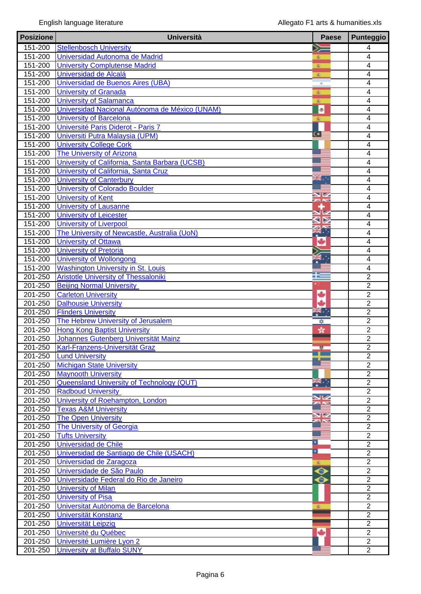| <b>Posizione</b>       | <b>Università</b>                                                                        | <b>Paese</b>   | <b>Punteggio</b>                           |
|------------------------|------------------------------------------------------------------------------------------|----------------|--------------------------------------------|
| 151-200                | <b>Stellenbosch University</b>                                                           | ➣              | 4                                          |
| 151-200                | Universidad Autonoma de Madrid                                                           | 渝              | $\overline{4}$                             |
| 151-200                | <b>University Complutense Madrid</b>                                                     | 鉴              | $\overline{4}$                             |
| 151-200                | Universidad de Alcalá                                                                    | 変              | $\overline{4}$                             |
| 151-200                | Universidad de Buenos Aires (UBA)                                                        | $\overline{a}$ | $\overline{\mathcal{A}}$                   |
| 151-200                | <b>University of Granada</b>                                                             | 変              | 4                                          |
| 151-200                | <b>University of Salamanca</b>                                                           | 変              | $\overline{4}$                             |
| $151 - 200$            | Universidad Nacional Autónoma de México (UNAM)                                           | <b>a</b>       | 4                                          |
| 151-200                | <b>University of Barcelona</b>                                                           | 凌              | $\overline{\mathbf{4}}$                    |
| 151-200                | Université Paris Diderot - Paris 7                                                       |                | 4                                          |
| 151-200                | Universiti Putra Malaysia (UPM)                                                          | $\bullet$ :    | 4                                          |
| 151-200                | <b>University College Cork</b>                                                           |                | 4                                          |
| 151-200                | The University of Arizona                                                                |                | $\overline{4}$                             |
| 151-200                | University of California, Santa Barbara (UCSB)                                           |                | 4                                          |
| 151-200                | University of California, Santa Cruz                                                     |                | $\overline{4}$                             |
| 151-200                | <b>University of Canterbury</b>                                                          | $\frac{N}{2}$  | $\overline{4}$                             |
| 151-200                | <b>University of Colorado Boulder</b>                                                    |                | 4                                          |
| 151-200                | <b>University of Kent</b>                                                                |                | $\overline{4}$                             |
| $\overline{151} - 200$ | <b>University of Lausanne</b>                                                            |                | 4                                          |
| $151 - 200$            | <b>University of Leicester</b>                                                           |                | 4                                          |
| $151 - 200$            | <b>University of Liverpool</b>                                                           | . .            | 4                                          |
| 151-200                | The University of Newcastle, Australia (UoN)                                             |                | 4                                          |
| 151-200                | <b>University of Ottawa</b>                                                              | ٠              | 4                                          |
| 151-200                | <b>University of Pretoria</b>                                                            |                | 4                                          |
| 151-200                | <b>University of Wollongong</b>                                                          |                | 4                                          |
| 151-200<br>201-250     | <b>Washington University in St. Louis</b><br><b>Aristotle University of Thessaloniki</b> | 52             | $\overline{\mathcal{A}}$<br>$\overline{2}$ |
| 201-250                | <b>Beijing Normal University</b>                                                         |                | $\overline{2}$                             |
| 201-250                | <b>Carleton University</b>                                                               |                | $\overline{2}$                             |
| 201-250                | <b>Dalhousie University</b>                                                              |                | $\overline{2}$                             |
| 201-250                | <b>Flinders University</b>                                                               |                | $\overline{2}$                             |
| 201-250                | The Hebrew University of Jerusalem                                                       | ₩              | $\overline{2}$                             |
| 201-250                | <b>Hong Kong Baptist University</b>                                                      | Y.             | $\overline{2}$                             |
| 201-250                | Johannes Gutenberg Universität Mainz                                                     |                | $\overline{2}$                             |
| 201-250                | Karl-Franzens-Universität Graz                                                           |                | $\overline{2}$                             |
| 201-250                | <b>Lund University</b>                                                                   |                | $\overline{2}$                             |
| 201-250                | <b>Michigan State University</b>                                                         |                | $\overline{2}$                             |
| 201-250                | <b>Maynooth University</b>                                                               |                | $\overline{2}$                             |
| 201-250                | Queensland University of Technology (QUT)                                                | न्द∴ .<br>पुर  | $\overline{2}$                             |
| 201-250                | <b>Radboud University</b>                                                                |                | $\overline{2}$                             |
| 201-250                | University of Roehampton, London                                                         |                | $\overline{2}$                             |
| 201-250                | <b>Texas A&amp;M University</b>                                                          |                | $\overline{2}$                             |
| 201-250                | The Open University                                                                      | VZ             | $\overline{2}$                             |
| 201-250                | <b>The University of Georgia</b>                                                         |                | $\overline{2}$                             |
| 201-250                | <b>Tufts University</b>                                                                  |                | $\overline{2}$                             |
| 201-250                | Universidad de Chile                                                                     | Ξ              | $\overline{2}$                             |
| 201-250                | Universidad de Santiago de Chile (USACH)                                                 | Ξ              | $\overline{2}$                             |
| 201-250                | Universidad de Zaragoza                                                                  | ×.             | $\overline{2}$                             |
| 201-250                | Universidade de São Paulo                                                                | $\bullet$      | $\overline{2}$                             |
| 201-250                | Universidade Federal do Rio de Janeiro                                                   | ◒              | $\overline{2}$                             |
| 201-250                | <b>University of Milan</b>                                                               |                | $\overline{2}$                             |
| 201-250                | <b>University of Pisa</b>                                                                |                | $\overline{2}$                             |
| 201-250                | Universitat Autònoma de Barcelona                                                        | ×.             | $\overline{2}$                             |
| 201-250                | Universität Konstanz                                                                     |                | $\overline{2}$                             |
| 201-250                | <b>Universität Leipzig</b>                                                               |                | $\overline{2}$                             |
| 201-250                | Université du Québec                                                                     | ٠              | $\overline{2}$                             |
| 201-250                | Université Lumière Lyon 2                                                                |                | $\overline{2}$                             |
| 201-250                | <b>University at Buffalo SUNY</b>                                                        |                | $\overline{2}$                             |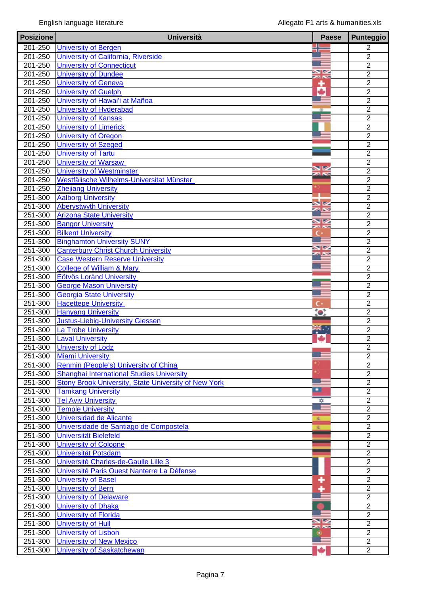| <b>Posizione</b>   | <b>Università</b>                                                                  | <b>Paese</b>             | <b>Punteggio</b>                 |
|--------------------|------------------------------------------------------------------------------------|--------------------------|----------------------------------|
| 201-250            | <b>University of Bergen</b>                                                        |                          | $\overline{2}$                   |
| 201-250            | University of California, Riverside                                                |                          | $\overline{2}$                   |
| 201-250            | <b>University of Connecticut</b>                                                   |                          | $\overline{2}$                   |
| 201-250            | <b>University of Dundee</b>                                                        | $\blacksquare$<br>zi N   | $\overline{2}$                   |
| 201-250            | <b>University of Geneva</b>                                                        | ۰                        | $\overline{2}$                   |
| 201-250            | <b>University of Guelph</b>                                                        | ٠                        | $\overline{2}$                   |
| 201-250            | University of Hawai'i at Mañoa                                                     |                          | $\overline{2}$                   |
| 201-250            | <b>University of Hyderabad</b>                                                     |                          | $\overline{2}$                   |
| 201-250            | <b>University of Kansas</b>                                                        |                          | $\overline{2}$                   |
| 201-250            | <b>University of Limerick</b>                                                      |                          | $\overline{2}$                   |
| 201-250            | <b>University of Oregon</b>                                                        |                          | $\overline{2}$                   |
| 201-250            | <b>University of Szeged</b>                                                        |                          | $\overline{2}$                   |
| 201-250            | <b>University of Tartu</b>                                                         |                          | $\overline{2}$                   |
| 201-250            | <b>University of Warsaw</b>                                                        |                          | $\overline{2}$                   |
| 201-250            | <b>University of Westminster</b>                                                   |                          | $\overline{2}$                   |
| 201-250            | Westfälische Wilhelms-Universitat Münster                                          |                          | $\overline{2}$                   |
| 201-250            | <b>Zhejiang University</b>                                                         |                          | $\overline{2}$                   |
| 251-300            | <b>Aalborg University</b>                                                          |                          | $\overline{2}$                   |
| 251-300            | <b>Aberystwyth University</b>                                                      |                          | $\overline{2}$                   |
| 251-300            | <b>Arizona State University</b>                                                    |                          | $\overline{2}$                   |
| $251 - 300$        | <b>Bangor University</b>                                                           | $\overline{\phantom{a}}$ | $\overline{2}$                   |
| $251 - 300$        | <b>Bilkent University</b>                                                          | C×                       | $\overline{2}$                   |
| 251-300            | <b>Binghamton University SUNY</b>                                                  | V                        | $\overline{2}$                   |
| 251-300            | <b>Canterbury Christ Church University</b>                                         |                          | $\overline{2}$                   |
| 251-300            | <b>Case Western Reserve University</b>                                             |                          | $\overline{2}$                   |
| 251-300            | <b>College of William &amp; Mary</b>                                               |                          | $\overline{2}$                   |
| 251-300            | <b>Eötvös Lorànd University</b>                                                    |                          | $\overline{2}$                   |
| 251-300            | <b>George Mason University</b>                                                     |                          | $\overline{2}$                   |
| 251-300            | <b>Georgia State University</b>                                                    |                          | $\overline{2}$                   |
| 251-300            | <b>Hacettepe University</b>                                                        | c٠                       | $\overline{2}$                   |
| 251-300            | <b>Hanyang University</b>                                                          | $\bullet$                | $\overline{2}$                   |
| 251-300            | <b>Justus-Liebig-University Giessen</b>                                            | <b>THE R</b>             | $\overline{2}$                   |
| 251-300            | <b>La Trobe University</b>                                                         |                          | $\overline{2}$                   |
| 251-300            | <b>Laval University</b>                                                            |                          | $\overline{2}$<br>$\overline{2}$ |
| 251-300            | <b>University of Lodz</b>                                                          |                          |                                  |
| 251-300            | <b>Miami University</b>                                                            |                          | 2<br>$\overline{2}$              |
| 251-300            | Renmin (People's) University of China<br>Shanghai International Studies University |                          | $\overline{2}$                   |
| 251-300<br>251-300 | Stony Brook University, State University of New York                               |                          | $\overline{2}$                   |
| 251-300            | <b>Tamkang University</b>                                                          | ▫                        | $\overline{2}$                   |
| $251 - 300$        | <b>Tel Aviv University</b>                                                         | ₩                        | $\overline{2}$                   |
| 251-300            | <b>Temple University</b>                                                           |                          | $\overline{2}$                   |
| 251-300            | Universidad de Alicante                                                            | 蚕                        | $\boldsymbol{2}$                 |
| 251-300            | Universidade de Santiago de Compostela                                             | 変                        | $\overline{2}$                   |
| 251-300            | Universität Bielefeld                                                              |                          | $\overline{2}$                   |
| 251-300            | <b>University of Cologne</b>                                                       |                          | $\overline{2}$                   |
| 251-300            | <b>Universität Potsdam</b>                                                         |                          | $\overline{2}$                   |
| 251-300            | Université Charles-de-Gaulle Lille 3                                               |                          | $\overline{2}$                   |
| 251-300            | Université Paris Ouest Nanterre La Défense                                         |                          | $\overline{2}$                   |
| 251-300            | <b>University of Basel</b>                                                         | ۰                        | $\overline{2}$                   |
| 251-300            | <b>University of Bern</b>                                                          |                          | $\overline{2}$                   |
| 251-300            | <b>University of Delaware</b>                                                      |                          | $\overline{2}$                   |
| 251-300            | <b>University of Dhaka</b>                                                         |                          | $\overline{2}$                   |
| 251-300            | <b>University of Florida</b>                                                       |                          | $\overline{2}$                   |
| 251-300            | <b>University of Hull</b>                                                          |                          | $\overline{2}$                   |
| 251-300            | <b>University of Lisbon</b>                                                        |                          | $\overline{2}$                   |
| 251-300            | <b>University of New Mexico</b>                                                    |                          | $\overline{2}$                   |
| 251-300            | <b>University of Saskatchewan</b>                                                  |                          | $\overline{2}$                   |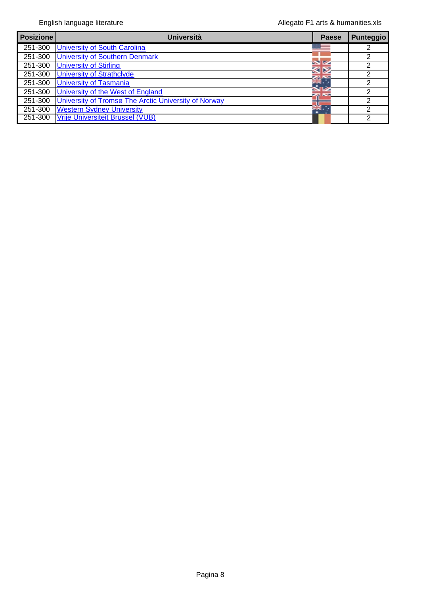| <b>Posizione</b> | <b>Università</b>                                    | Paese | Punteggio |
|------------------|------------------------------------------------------|-------|-----------|
| 251-300          | <b>University of South Carolina</b>                  |       | 2         |
| 251-300          | <b>University of Southern Denmark</b>                |       | っ         |
| 251-300          | <b>University of Stirling</b>                        |       | っ         |
| 251-300          | <b>University of Strathclyde</b>                     |       |           |
| 251-300          | <b>University of Tasmania</b>                        |       | າ         |
| 251-300          | University of the West of England                    |       | っ         |
| 251-300          | University of Tromsø The Arctic University of Norway |       | っ         |
| 251-300          | <b>Western Sydney University</b>                     |       | ⌒         |
| 251-300          | <b>Vrije Universiteit Brussel (VUB)</b>              |       | ົ         |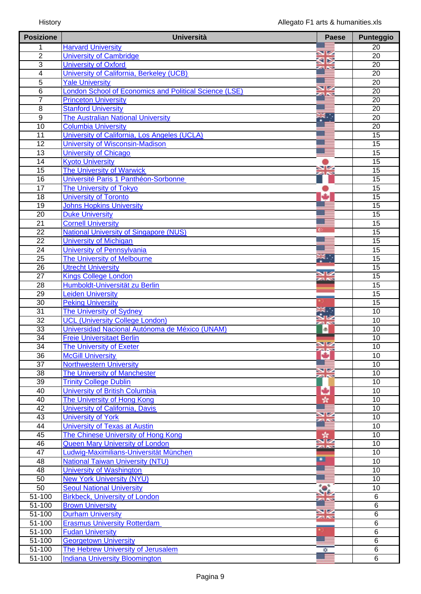| <b>Posizione</b> | <b>Università</b>                                      | <b>Paese</b>            | <b>Punteggio</b> |
|------------------|--------------------------------------------------------|-------------------------|------------------|
| 1                | <b>Harvard University</b>                              |                         | $\overline{20}$  |
| $\overline{2}$   | <b>University of Cambridge</b>                         | NZ<br>Q⊵                | $\overline{20}$  |
| 3                | <b>University of Oxford</b>                            | <b>ZA NS</b>            | 20               |
| 4                | University of California, Berkeley (UCB)               |                         | 20               |
| 5                | <b>Yale University</b>                                 |                         | $\overline{20}$  |
| 6                | London School of Economics and Political Science (LSE) | VZ                      | $\overline{20}$  |
| $\overline{7}$   | <b>Princeton University</b>                            |                         | 20               |
| $\overline{8}$   | <b>Stanford University</b>                             |                         | $\overline{20}$  |
| $\overline{9}$   | <b>The Australian National University</b>              | ₩.,                     | 20               |
| 10               | <b>Columbia University</b>                             |                         | 20               |
| $\overline{11}$  | University of California, Los Angeles (UCLA)           |                         | 15               |
| $\overline{12}$  | <b>University of Wisconsin-Madison</b>                 |                         | $\overline{15}$  |
| 13               | <b>University of Chicago</b>                           |                         | $\overline{15}$  |
| 14               | <b>Kyoto University</b>                                |                         | 15               |
| 15               | <b>The University of Warwick</b>                       | $\frac{N}{N}$           | $\overline{15}$  |
| 16               | Université Paris 1 Panthéon-Sorbonne                   |                         | 15               |
| $\overline{17}$  | The University of Tokyo                                |                         | 15               |
| 18               | <b>University of Toronto</b>                           | ÷                       | 15               |
| 19               | <b>Johns Hopkins University</b>                        |                         | $\overline{15}$  |
| $\overline{20}$  | <b>Duke University</b>                                 |                         | 15               |
| 21               | <b>Cornell University</b>                              |                         | 15               |
| $\overline{22}$  | <b>National University of Singapore (NUS)</b>          |                         | $\overline{15}$  |
| $\overline{22}$  | <b>University of Michigan</b>                          |                         | 15               |
| 24               | University of Pennsylvania                             |                         | 15               |
| $\overline{25}$  | The University of Melbourne                            | ĸ.                      | $\overline{15}$  |
| 26               | <b>Utrecht University</b>                              | <b>SIZ</b>              | 15               |
| $\overline{27}$  | <b>Kings College London</b>                            | za K                    | $\overline{15}$  |
| 28               | Humboldt-Universität zu Berlin                         |                         | 15               |
| 29               | <b>Leiden University</b>                               |                         | $\overline{15}$  |
| $\overline{30}$  | <b>Peking University</b>                               |                         | $\overline{15}$  |
| 31               | <b>The University of Sydney</b>                        |                         | 10               |
| 32               | <b>UCL (University College London)</b>                 |                         | 10               |
| 33               | Universidad Nacional Autónoma de México (UNAM)         | $\circ$                 | $\overline{10}$  |
| 34               | <b>Freie Universitaet Berlin</b>                       | <u>NZ</u>               | $\overline{10}$  |
| 34               | The University of Exeter                               |                         | 10               |
| $\overline{36}$  | <b>McGill University</b>                               | ٠                       | 10               |
| $\overline{37}$  | <b>Northwestern University</b>                         | VZ                      | 10               |
| 38               | The University of Manchester                           | 24 N                    | 10               |
| 39               | <b>Trinity College Dublin</b>                          |                         | 10               |
| 40               | <b>University of British Columbia</b>                  | ь                       | 10               |
| 40               | The University of Hong Kong                            | ÷,                      | 10               |
| 42               | <b>University of California, Davis</b>                 | $\overline{\mathbf{v}}$ | 10               |
| 43               | <b>University of York</b>                              |                         | 10               |
| 44               | <b>University of Texas at Austin</b>                   |                         | 10               |
| 45               | The Chinese University of Hong Kong                    | sie                     | 10               |
| 46               | <b>Queen Mary University of London</b>                 | za N                    | 10               |
| 47               | Ludwig-Maximilians-Universität München                 | ▫                       | 10               |
| 48               | <b>National Taiwan University (NTU)</b>                |                         | 10               |
| 48               | <b>University of Washington</b>                        |                         | 10               |
| 50               | <b>New York University (NYU)</b>                       |                         | 10               |
| 50               | <b>Seoul National University</b>                       | $\bullet$               | $\overline{10}$  |
| 51-100           | <b>Birkbeck, University of London</b>                  |                         | 6                |
| 51-100           | <b>Brown University</b>                                | 92                      | 6                |
| $51 - 100$       | <b>Durham University</b>                               | <b>ZEN</b>              | $\overline{6}$   |
| $51 - 100$       | <b>Erasmus University Rotterdam</b>                    |                         | $\overline{6}$   |
| 51-100           | <b>Fudan University</b>                                |                         | 6                |
| $51 - 100$       | <b>Georgetown University</b>                           |                         | $\overline{6}$   |
| $51 - 100$       | The Hebrew University of Jerusalem                     | ۰                       | $\overline{6}$   |
| 51-100           | <b>Indiana University Bloomington</b>                  |                         | 6                |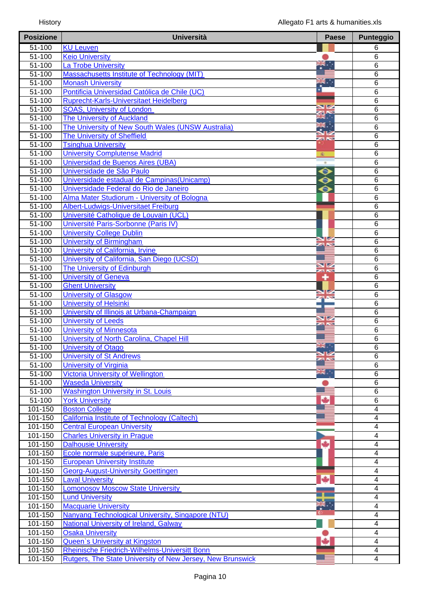| <b>Posizione</b>      | <b>Università</b>                                          | <b>Paese</b>   | <b>Punteggio</b>        |
|-----------------------|------------------------------------------------------------|----------------|-------------------------|
| 51-100                | <b>KU Leuven</b>                                           |                | 6                       |
| 51-100                | <b>Keio University</b>                                     |                | 6                       |
| $51 - 100$            | La Trobe University                                        | aw.,           | 6                       |
| $51 - 100$            | Massachusetts Institute of Technology (MIT)                |                | $\overline{6}$          |
| 51-100                | <b>Monash University</b>                                   | $\mathbf{R}$ . | 6                       |
| 51-100                | Pontificia Universidad Católica de Chile (UC)              |                | $\overline{6}$          |
| 51-100                | Ruprecht-Karls-Universitaet Heidelberg                     |                | $\overline{6}$          |
| 51-100                | <b>SOAS, University of London</b>                          |                | 6                       |
| $\frac{1}{51-100}$    | <b>The University of Auckland</b>                          |                | 6                       |
| $51 - 100$            | The University of New South Wales (UNSW Australia)         |                | $\overline{6}$          |
| $51 - 100$            | <b>The University of Sheffield</b>                         | <b>SIN</b>     | 6                       |
| 51-100                | <b>Tsinghua University</b>                                 |                | 6                       |
| $51 - 100$            | <b>University Complutense Madrid</b>                       | 変              | 6                       |
| $51 - 100$            | Universidad de Buenos Aires (UBA)                          |                | 6                       |
| 51-100                | Universidade de São Paulo                                  | $\bullet$      | 6                       |
| 51-100                | Universidade estadual de Campinas (Unicamp)                | $\bullet$      | 6                       |
| $51 - 100$            | Universidade Federal do Rio de Janeiro                     | ⊖              | 6                       |
| $51 - 100$            | Alma Mater Studiorum - University of Bologna               |                | 6                       |
| 51-100                | Albert-Ludwigs-Universitaet Freiburg                       |                | 6                       |
| 51-100                | Université Catholique de Louvain (UCL)                     |                | $\overline{6}$          |
| $51 - 100$            | Université Paris-Sorbonne (Paris IV)                       |                | $\overline{6}$          |
| $\overline{51} - 100$ | <b>University College Dublin</b>                           |                | 6                       |
| $\frac{1}{51-100}$    | <b>University of Birmingham</b>                            | <b>ZA NS</b>   | 6                       |
| $51 - 100$            | University of California, Irvine                           |                | 6                       |
| $51 - 100$            | University of California, San Diego (UCSD)                 |                | 6                       |
| 51-100                | The University of Edinburgh                                | V<br>za Ko     | 6                       |
| $51 - 100$            | <b>University of Geneva</b>                                | ۰              | 6                       |
| $51 - 100$            | <b>Ghent University</b>                                    |                | 6                       |
| 51-100                | <b>University of Glasgow</b>                               |                | $\overline{6}$          |
| 51-100                | <b>University of Helsinki</b>                              |                | 6                       |
| 51-100                | University of Illinois at Urbana-Champaign                 |                | $\overline{6}$          |
| $51 - 100$            | <b>University of Leeds</b>                                 | VZ             | $\overline{6}$          |
| 51-100                | <b>University of Minnesota</b>                             |                | 6                       |
| $51 - 100$            | University of North Carolina, Chapel Hill                  |                | 6                       |
| $51 - 100$            | <b>University of Otago</b>                                 | ăĶ.            | $\overline{6}$          |
| 51-100                | <b>University of St Andrews</b>                            |                | 6                       |
| 51-100                | <b>University of Virginia</b>                              |                | 6                       |
| $51 - 100$            | <b>Victoria University of Wellington</b>                   | au<br>ak       | $\overline{6}$          |
| $\overline{51-100}$   | <b>Waseda University</b>                                   |                | 6                       |
| 51-100                | <b>Washington University in St. Louis</b>                  |                | 6                       |
| $51 - 100$            | <b>York University</b>                                     | ٠              | $\overline{6}$          |
| 101-150               | <b>Boston College</b>                                      |                | 4                       |
| 101-150               | <b>California Institute of Technology (Caltech)</b>        |                | 4                       |
| 101-150               | <b>Central European University</b>                         |                | 4                       |
| 101-150               | <b>Charles University in Prague</b>                        |                | 4                       |
| 101-150               | <b>Dalhousie University</b>                                | ÷              | 4                       |
| 101-150               | Ecole normale supérieure, Paris                            |                | 4                       |
| 101-150               | <b>European University Institute</b>                       |                | 4                       |
| 101-150               | <b>Georg-August-University Goettingen</b>                  |                | $\overline{4}$          |
| 101-150               | <b>Laval University</b>                                    | ٠              | 4                       |
| 101-150               | <b>Lomonosov Moscow State University</b>                   |                | $\overline{\mathbf{4}}$ |
| 101-150               | <b>Lund University</b>                                     |                | 4                       |
| 101-150               | <b>Macquarie University</b>                                |                | 4                       |
| 101-150               | Nanyang Technological University, Singapore (NTU)          |                | $\overline{4}$          |
| 101-150               | <b>National University of Ireland, Galway</b>              |                | $\overline{\mathbf{4}}$ |
| 101-150               | <b>Osaka University</b>                                    |                | $\overline{4}$          |
| 101-150               | <b>Queen's University at Kingston</b>                      |                | $\overline{4}$          |
| 101-150               | Rheinische Friedrich-Wilhelms-Universitt Bonn              |                | 4                       |
| 101-150               | Rutgers, The State University of New Jersey, New Brunswick |                | 4                       |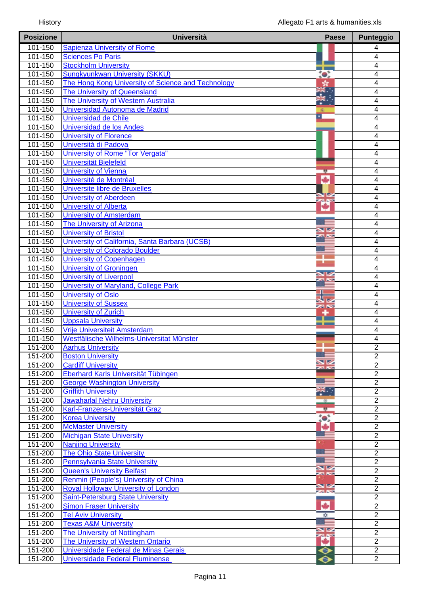| <b>Posizione</b>   | <b>Università</b>                                                                       | <b>Paese</b>       | <b>Punteggio</b>              |
|--------------------|-----------------------------------------------------------------------------------------|--------------------|-------------------------------|
| 101-150            | <b>Sapienza University of Rome</b>                                                      |                    | 4                             |
| 101-150            | <b>Sciences Po Paris</b>                                                                |                    | 4                             |
| 101-150            | <b>Stockholm University</b>                                                             |                    | $\overline{\mathcal{A}}$      |
| 101-150            | <b>Sungkyunkwan University (SKKU)</b>                                                   |                    | $\overline{4}$                |
| 101-150            | The Hong Kong University of Science and Technology                                      | 紫                  | $\overline{\mathcal{A}}$      |
| 101-150            | The University of Queensland                                                            |                    | $\overline{\mathcal{A}}$      |
| 101-150            | The University of Western Australia                                                     |                    | 4                             |
| 101-150            | Universidad Autonoma de Madrid                                                          |                    | 4                             |
| 101-150            | <b>Universidad de Chile</b>                                                             | ×                  | 4                             |
| 101-150            | Universidad de los Andes                                                                |                    | $\overline{4}$                |
| 101-150            | <b>University of Florence</b>                                                           |                    | 4                             |
| $101 - 150$        | Università di Padova                                                                    |                    | $\overline{4}$                |
| 101-150            | University of Rome "Tor Vergata"                                                        |                    | $\overline{\mathcal{A}}$      |
| 101-150            | <b>Universität Bielefeld</b>                                                            |                    | $\overline{\mathcal{A}}$      |
| 101-150            | <b>University of Vienna</b>                                                             | 18                 | $\overline{\mathbf{4}}$       |
| 101-150            | Université de Montréal                                                                  | ÷                  | $\overline{4}$                |
| 101-150            | Universite libre de Bruxelles                                                           | B                  | 4                             |
| 101-150            | <b>University of Aberdeen</b>                                                           | <b>SILLER</b>      | $\overline{4}$                |
| 101-150            | <b>University of Alberta</b>                                                            | ₩                  | 4                             |
| 101-150            | <b>University of Amsterdam</b>                                                          |                    | 4                             |
| 101-150            | <b>The University of Arizona</b>                                                        | VØ                 | 4                             |
| 101-150            | <b>University of Bristol</b>                                                            |                    | $\overline{\mathbf{4}}$       |
| 101-150<br>101-150 | University of California, Santa Barbara (UCSB)<br><b>University of Colorado Boulder</b> |                    | $\overline{\mathcal{A}}$<br>4 |
| 101-150            |                                                                                         |                    | 4                             |
| 101-150            | <b>University of Copenhagen</b><br><b>University of Groningen</b>                       |                    |                               |
| 101-150            | <b>University of Liverpool</b>                                                          |                    | 4<br>$\overline{4}$           |
| 101-150            | University of Maryland, College Park                                                    |                    | 4                             |
| 101-150            | <b>University of Oslo</b>                                                               |                    | 4                             |
| 101-150            | <b>University of Sussex</b>                                                             |                    | 4                             |
| 101-150            | <b>University of Zurich</b>                                                             | <b>SING</b>        | 4                             |
| 101-150            | <b>Uppsala University</b>                                                               |                    | 4                             |
| 101-150            | Vrije Universiteit Amsterdam                                                            |                    | 4                             |
| 101-150            | Westfälische Wilhelms-Universitat Münster                                               |                    | $\overline{\mathcal{A}}$      |
| 151-200            | <b>Aarhus University</b>                                                                |                    | $\overline{2}$                |
| 151-200            | <b>Boston University</b>                                                                |                    | $\overline{2}$                |
| 151-200            | <b>Cardiff University</b>                                                               | VZ<br><b>SAN</b>   | $\overline{2}$                |
| 151-200            | <b>Eberhard Karls Universität Tübingen</b>                                              |                    | $\overline{2}$                |
| 151-200            | <b>George Washington University</b>                                                     |                    | $\overline{2}$                |
| 151-200            | <b>Griffith University</b>                                                              | ∴.                 | $\overline{2}$                |
| 151-200            | <b>Jawaharlal Nehru University</b>                                                      | $\circ$            | $\overline{2}$                |
| 151-200            | Karl-Franzens-Universität Graz                                                          | 壁                  | $\overline{2}$                |
| 151-200            | <b>Korea University</b>                                                                 | $\bullet$          | $\overline{2}$                |
| 151-200            | <b>McMaster University</b>                                                              | ÷                  | $\overline{2}$                |
| 151-200            | <b>Michigan State University</b>                                                        |                    | $\overline{2}$                |
| 151-200            | <b>Nanjing University</b>                                                               |                    | $\overline{2}$                |
| 151-200            | <b>The Ohio State University</b>                                                        |                    | $\overline{2}$                |
| 151-200            | <b>Pennsylvania State University</b>                                                    |                    | $\overline{2}$                |
| 151-200            | <b>Queen's University Belfast</b>                                                       | VZ<br><b>ZA NS</b> | $\overline{2}$                |
| 151-200            | Renmin (People's) University of China                                                   |                    | $\overline{2}$                |
| 151-200            | <b>Royal Holloway University of London</b>                                              | <b>NK</b>          | $\overline{2}$                |
| 151-200            | <b>Saint-Petersburg State University</b>                                                |                    | $\overline{2}$                |
| 151-200            | <b>Simon Fraser University</b>                                                          | ۰                  | $\overline{2}$                |
| 151-200            | <b>Tel Aviv University</b>                                                              | ÷                  | $\overline{2}$                |
| 151-200            | <b>Texas A&amp;M University</b>                                                         | V                  | $\overline{2}$                |
| 151-200            | The University of Nottingham                                                            | <b>as</b>          | $\overline{2}$                |
| 151-200            | <b>The University of Western Ontario</b>                                                | ₩                  | $\overline{2}$                |
| 151-200            | Universidade Federal de Minas Gerais                                                    | $\bullet$          | $\overline{2}$                |
| 151-200            | <b>Universidade Federal Fluminense</b>                                                  |                    | $\overline{2}$                |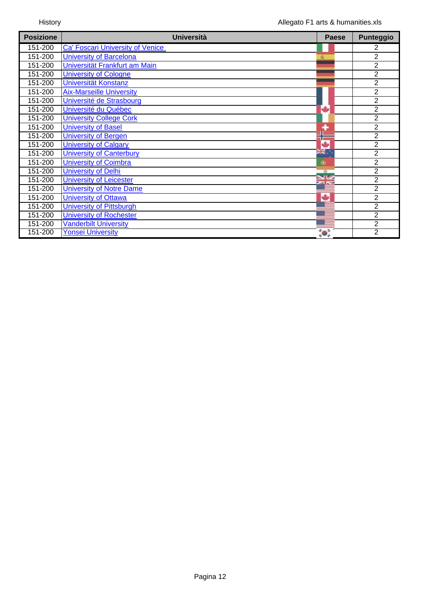| <b>Posizione</b> | <b>Università</b>                       | <b>Paese</b>  | <b>Punteggio</b> |
|------------------|-----------------------------------------|---------------|------------------|
| 151-200          | <b>Ca' Foscari University of Venice</b> |               | 2                |
| 151-200          | <b>University of Barcelona</b>          |               | $\overline{2}$   |
| 151-200          | Universität Frankfurt am Main           |               | $\overline{2}$   |
| 151-200          | <b>University of Cologne</b>            |               | $\overline{2}$   |
| 151-200          | Universität Konstanz                    |               | $\overline{2}$   |
| 151-200          | <b>Aix-Marseille University</b>         |               | $\overline{2}$   |
| 151-200          | Université de Strasbourg                |               | $\overline{2}$   |
| 151-200          | Université du Québec                    | ٠             | $\overline{2}$   |
| 151-200          | <b>University College Cork</b>          |               | $\overline{2}$   |
| 151-200          | <b>University of Basel</b>              |               | $\overline{2}$   |
| 151-200          | <b>University of Bergen</b>             |               | $\overline{2}$   |
| 151-200          | <b>University of Calgary</b>            | ٠             | $\overline{2}$   |
| 151-200          | <b>University of Canterbury</b>         | ă¥.           | $\overline{2}$   |
| 151-200          | <b>University of Coimbra</b>            | ۰             | $\overline{2}$   |
| 151-200          | <b>University of Delhi</b>              | $\circ$       | $\overline{2}$   |
| 151-200          | <b>University of Leicester</b>          | SB 2<br>24 NS | $\overline{2}$   |
| 151-200          | <b>University of Notre Dame</b>         |               | $\overline{2}$   |
| 151-200          | <b>University of Ottawa</b>             | ۰             | 2                |
| 151-200          | <b>University of Pittsburgh</b>         |               | $\overline{2}$   |
| 151-200          | <b>University of Rochester</b>          |               | $\overline{2}$   |
| 151-200          | <b>Vanderbilt University</b>            |               | 2                |
| 151-200          | <b>Yonsei University</b>                | $\bullet$ .   | 2                |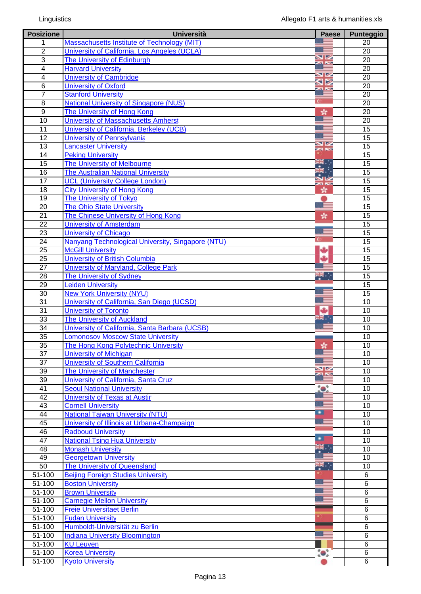| <b>Posizione</b> | <b>Università</b>                                 | <b>Paese</b>    | <b>Punteggio</b> |
|------------------|---------------------------------------------------|-----------------|------------------|
| 1                | Massachusetts Institute of Technology (MIT)       |                 | 20               |
| $\overline{2}$   | University of California, Los Angeles (UCLA)      |                 | 20               |
| 3                | The University of Edinburgh                       | VØ              | 20               |
| $\overline{4}$   | <b>Harvard University</b>                         | <b>Ball</b>     | 20               |
| 4                | <b>University of Cambridge</b>                    | VØ              | 20               |
| $\,6$            | <b>University of Oxford</b>                       | ⊲ ⊳             | 20               |
| $\overline{7}$   | <b>Stanford University</b>                        | <b>Ball New</b> | 20               |
| 8                | <b>National University of Singapore (NUS)</b>     |                 | 20               |
| $\overline{9}$   | The University of Hong Kong                       |                 | $\overline{20}$  |
|                  |                                                   | sk.             |                  |
| 10               | University of Massachusetts Amherst               |                 | 20               |
| 11               | University of California, Berkeley (UCB)          |                 | 15               |
| $\overline{12}$  | <b>University of Pennsylvania</b>                 | V               | $\overline{15}$  |
| 13               | <b>Lancaster University</b>                       | 23 N            | 15               |
| 14               | <b>Peking University</b>                          |                 | 15               |
| $\overline{15}$  | The University of Melbourne                       | řk.,            | $\overline{15}$  |
| 16               | <b>The Australian National University</b>         |                 | 15               |
| 17               | <b>UCL (University College London)</b>            | za Ko           | 15               |
| $\overline{18}$  | <b>City University of Hong Kong</b>               | 责               | $\overline{15}$  |
| 19               | <b>The University of Tokyo</b>                    |                 | 15               |
| 20               | <b>The Ohio State University</b>                  |                 | 15               |
| $\overline{21}$  | The Chinese University of Hong Kong               | sk.             | 15               |
| $\overline{22}$  | <b>University of Amsterdam</b>                    |                 | 15               |
| $\overline{23}$  | <b>University of Chicago</b>                      |                 | 15               |
| $\overline{24}$  | Nanyang Technological University, Singapore (NTU) |                 | 15               |
| $\overline{25}$  | <b>McGill University</b>                          |                 | 15               |
| $\overline{25}$  | <b>University of British Columbia</b>             |                 | $\overline{15}$  |
| 27               | University of Maryland, College Park              |                 | 15               |
| $\overline{28}$  | <b>The University of Sydney</b>                   | ю.,             | 15               |
| $\overline{29}$  | <b>Leiden University</b>                          |                 | $\overline{15}$  |
| 30               |                                                   |                 |                  |
|                  | <b>New York University (NYU)</b>                  |                 | 15               |
| $\overline{31}$  | University of California, San Diego (UCSD)        | ÷               | 10               |
| 31               | <b>University of Toronto</b>                      | vila<br>⊓re     | 10               |
| 33               | <b>The University of Auckland</b>                 |                 | 10               |
| $\overline{34}$  | University of California, Santa Barbara (UCSB)    |                 | 10               |
| 35               | <b>Lomonosov Moscow State University</b>          |                 | 10               |
| 35               | <b>The Hong Kong Polytechnic University</b>       | حاله            | 10               |
| 37               | <b>University of Michigan</b>                     |                 | 10               |
| 37               | <b>University of Southern California</b>          |                 | 10               |
| 39               | The University of Manchester                      | VZ              | 10               |
| 39               | University of California, Santa Cruz              |                 | 10               |
| 41               | <b>Seoul National University</b>                  | $\bullet$       | 10               |
| 42               | <b>University of Texas at Austir</b>              |                 | 10               |
| 43               | <b>Cornell University</b>                         |                 | 10               |
| 44               | <b>National Taiwan University (NTU)</b>           | ∙               | 10               |
| 45               | University of Illinois at Urbana-Champaign        |                 | 10               |
| 46               | <b>Radboud University</b>                         |                 | 10               |
| 47               | <b>National Tsing Hua University</b>              | ▫               | 10               |
| 48               | <b>Monash University</b>                          |                 | 10               |
| 49               | <b>Georgetown University</b>                      |                 | $\overline{10}$  |
| 50               | The University of Queensland                      | F.              | 10               |
| 51-100           | <b>Beijing Foreign Studies University</b>         |                 | 6                |
| 51-100           | <b>Boston University</b>                          |                 | 6                |
| $51 - 100$       |                                                   |                 | $\overline{6}$   |
|                  | <b>Brown University</b>                           |                 |                  |
| $51 - 100$       | <b>Carnegie Mellon University</b>                 |                 | 6                |
| 51-100           | <b>Freie Universitaet Berlin</b>                  |                 | 6                |
| 51-100           | <b>Fudan University</b>                           |                 | 6                |
| $51 - 100$       | Humboldt-Universität zu Berlin                    |                 | 6                |
| 51-100           | <b>Indiana University Bloomington</b>             |                 | 6                |
| $51 - 100$       | <b>KU Leuven</b>                                  |                 | $\overline{6}$   |
| $51 - 100$       | <b>Korea University</b>                           | $\bullet$       | 6                |
| $51 - 100$       | <b>Kyoto University</b>                           |                 | 6                |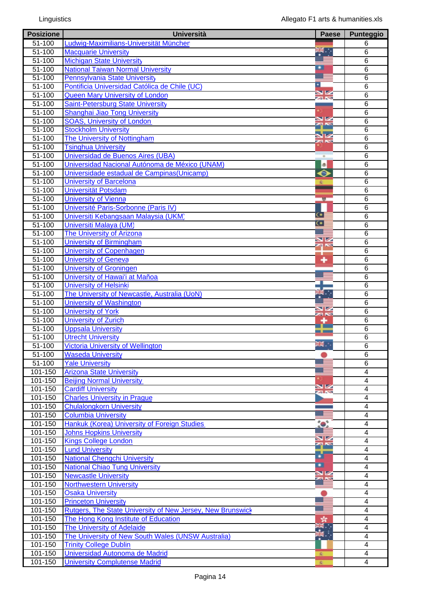| <b>Posizione</b>   | <b>Università</b>                                          | <b>Paese</b>   | <b>Punteggio</b>         |
|--------------------|------------------------------------------------------------|----------------|--------------------------|
| 51-100             | Ludwig-Maximilians-Universität München                     |                | 6                        |
| $51 - 100$         | <b>Macquarie University</b>                                | 装              | 6                        |
| 51-100             | <b>Michigan State University</b>                           |                | 6                        |
| 51-100             | <b>National Taiwan Normal University</b>                   |                | 6                        |
| $51 - 100$         | <b>Pennsylvania State University</b>                       |                | 6                        |
| 51-100             | Pontificia Universidad Católica de Chile (UC)              | Δ              | 6                        |
| $51 - 100$         | <b>Queen Mary University of London</b>                     | $\frac{N}{N}$  | 6                        |
| $51 - 100$         | <b>Saint-Petersburg State University</b>                   |                | 6                        |
| $51 - 100$         | Shanghai Jiao Tong University                              |                | 6                        |
| $51 - 100$         | <b>SOAS, University of London</b>                          | NZ             | 6                        |
| $51 - 100$         | <b>Stockholm University</b>                                | $\mathbf{z}$   | 6                        |
| $51 - 100$         | The University of Nottingham                               | 92<br>23 N.Y   | $\overline{6}$           |
| $51 - 100$         | <b>Tsinghua University</b>                                 |                | 6                        |
| $51 - 100$         | Universidad de Buenos Aires (UBA)                          | $\blacksquare$ | $\overline{6}$           |
| $51 - 100$         | Universidad Nacional Autónoma de México (UNAM)             | $\circledast$  | $\overline{6}$           |
| 51-100             | Universidade estadual de Campinas (Unicamp)                | ◒              | $\overline{6}$           |
| 51-100             | <b>University of Barcelona</b>                             | 凌              | $\overline{6}$           |
| $51 - 100$         | Universität Potsdam                                        |                | $\overline{6}$           |
| 51-100             | <b>University of Vienna</b>                                | <b>M</b>       | $\overline{6}$           |
| $51 - 100$         | Université Paris-Sorbonne (Paris IV)                       |                | $\overline{6}$           |
| 51-100             | Universiti Kebangsaan Malaysia (UKM)                       | $\bullet$      | 6                        |
| $51 - 100$         | Universiti Malaya (UM)                                     | $\bullet$      | $6\overline{6}$          |
| $\frac{1}{51-100}$ | The University of Arizona                                  |                | 6                        |
| $51 - 100$         | <b>University of Birmingham</b>                            | VZ             | $\overline{6}$           |
| $51 - 100$         | <b>University of Copenhagen</b>                            | ฅ∾             | 6                        |
| $51 - 100$         | <b>University of Geneva</b>                                | ٠              | 6                        |
| 51-100             |                                                            |                |                          |
| $51 - 100$         | <b>University of Groningen</b>                             |                | 6                        |
|                    | University of Hawai'i at Mañoa                             |                | 6                        |
| 51-100             | <b>University of Helsinki</b>                              |                | 6                        |
| 51-100             | The University of Newcastle, Australia (UoN)               |                | 6                        |
| $51 - 100$         | University of Washington                                   | VZ             | 6                        |
| $51 - 100$         | <b>University of York</b>                                  | za re          | 6                        |
| 51-100             | <b>University of Zurich</b>                                |                | 6                        |
| $51 - 100$         | <b>Uppsala University</b>                                  |                | 6                        |
| 51-100             | <b>Utrecht University</b>                                  | an a           | 6                        |
| $51 - 100$         | <b>Victoria University of Wellington</b>                   |                | $\overline{6}$           |
| 51-100             | <b>Waseda University</b>                                   |                | 6                        |
| $51 - 100$         | <b>Yale University</b>                                     |                | 6                        |
| $101 - 150$        | <b>Arizona State University</b>                            |                | $\overline{4}$           |
| 101-150            | <b>Beijing Normal University</b>                           |                | $\overline{\mathbf{4}}$  |
| 101-150            | <b>Cardiff University</b>                                  | $\frac{N}{2}$  | $\overline{\mathcal{A}}$ |
| 101-150            | <b>Charles University in Prague</b>                        |                | $\overline{4}$           |
| 101-150            | <b>Chulalongkorn University</b>                            |                | $\overline{4}$           |
| 101-150            | <b>Columbia University</b>                                 |                | $\overline{\mathbf{4}}$  |
| 101-150            | Hankuk (Korea) University of Foreign Studies               |                | $\overline{4}$           |
| 101-150            | <b>Johns Hopkins University</b>                            |                | $\overline{\mathbf{4}}$  |
| 101-150            | <b>Kings College London</b>                                | V<br>75        | 4                        |
| 101-150            | <b>Lund University</b>                                     |                | 4                        |
| 101-150            | <b>National Chengchi University</b>                        | ā              | $\overline{\mathcal{A}}$ |
| 101-150            | <b>National Chiao Tung University</b>                      | $\blacksquare$ | $\overline{\mathcal{A}}$ |
| 101-150            | <b>Newcastle University</b>                                | $\frac{N}{N}$  | $\overline{\mathcal{A}}$ |
| 101-150            | <b>Northwestern University</b>                             |                | $\overline{\mathbf{4}}$  |
| 101-150            | <b>Osaka University</b>                                    |                | $\overline{4}$           |
| 101-150            | <b>Princeton University</b>                                |                | 4                        |
| 101-150            | Rutgers, The State University of New Jersey, New Brunswick |                | $\overline{4}$           |
| 101-150            | The Hong Kong Institute of Education                       |                | $\overline{4}$           |
| 101-150            | The University of Adelaide                                 |                | 4                        |
| 101-150            | The University of New South Wales (UNSW Australia)         |                | 4                        |
| 101-150            | <b>Trinity College Dublin</b>                              |                | 4                        |
| 101-150            | Universidad Autonoma de Madrid                             |                | 4                        |
| 101-150            | <b>University Complutense Madrid</b>                       | 変              | $\overline{4}$           |
|                    |                                                            |                |                          |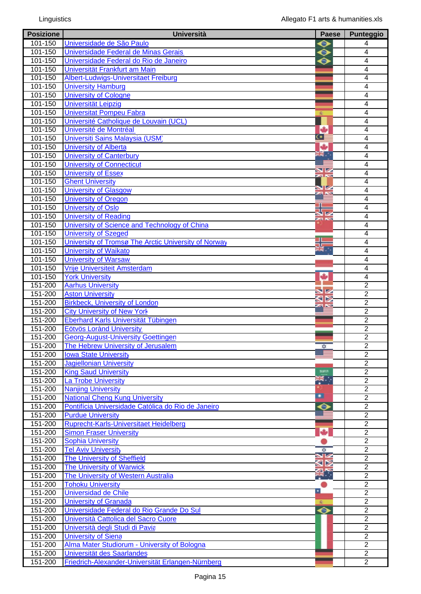| <b>Posizione</b> | <b>Università</b>                                    | <b>Paese</b>              | Punteggio      |
|------------------|------------------------------------------------------|---------------------------|----------------|
| $101 - 150$      | Universidade de São Paulo                            | ◒                         | 4              |
| 101-150          | Universidade Federal de Minas Gerais                 | $\bullet$                 | 4              |
| 101-150          | Universidade Federal do Rio de Janeiro               | $\bullet$                 | $\overline{4}$ |
| 101-150          | Universität Frankfurt am Main                        |                           | 4              |
| 101-150          | Albert-Ludwigs-Universitaet Freiburg                 |                           | $\overline{4}$ |
| 101-150          | <b>University Hamburg</b>                            |                           | 4              |
| 101-150          | <b>University of Cologne</b>                         |                           | 4              |
| 101-150          | <b>Universität Leipzig</b>                           |                           | $\overline{4}$ |
| 101-150          | <b>Universitat Pompeu Fabra</b>                      | 変                         | $\overline{4}$ |
| 101-150          | Université Catholique de Louvain (UCL)               |                           | 4              |
| 101-150          | Université de Montréal                               | ی                         | $\overline{4}$ |
| 101-150          | Universiti Sains Malaysia (USM)                      | $\bullet$ :               | $\overline{4}$ |
| 101-150          | <b>University of Alberta</b>                         | ٠                         | 4              |
| 101-150          |                                                      | $\frac{1}{2}$             | $\overline{4}$ |
|                  | <b>University of Canterbury</b>                      |                           |                |
| 101-150          | <b>University of Connecticut</b>                     |                           | $\overline{4}$ |
| 101-150          | <b>University of Essex</b>                           | XK                        | 4              |
| 101-150          | <b>Ghent University</b>                              |                           | $\overline{4}$ |
| 101-150          | University of Glasgow                                | <b>ZIN</b>                | $\overline{4}$ |
| 101-150          | University of Oregon                                 |                           | $\overline{4}$ |
| 101-150          | University of Oslo                                   |                           | $\overline{4}$ |
| 101-150          | <b>University of Reading</b>                         | 23 N.Y                    | $\overline{4}$ |
| 101-150          | University of Science and Technology of China        |                           | $\overline{4}$ |
| 101-150          | <b>University of Szeged</b>                          |                           | 4              |
| 101-150          | University of Tromsø The Arctic University of Norway | 5G                        | $\overline{4}$ |
| 101-150          | <b>University of Waikato</b>                         | $\overline{\mathbf{R}}$ . | $\overline{4}$ |
| 101-150          | <b>University of Warsaw</b>                          |                           | 4              |
| 101-150          | Vrije Universiteit Amsterdam                         |                           | 4              |
| 101-150          | <b>York University</b>                               | ٠                         | $\overline{4}$ |
| 151-200          | <b>Aarhus University</b>                             |                           | $\overline{2}$ |
| 151-200          | <b>Aston University</b>                              | K                         | $\overline{2}$ |
| 151-200          | <b>Birkbeck, University of London</b>                |                           | $\overline{2}$ |
| 151-200          | <b>City University of New York</b>                   |                           | $\overline{2}$ |
| 151-200          | Eberhard Karls Universität Tübingen                  |                           | $\overline{2}$ |
| 151-200          | Eötvös Lorànd University                             |                           | $\overline{2}$ |
| 151-200          | <b>Georg-August-University Goettingen</b>            |                           | $\overline{2}$ |
| 151-200          | The Hebrew University of Jerusalem                   |                           | $\overline{2}$ |
| 151-200          | <b>Iowa State University</b>                         |                           | $\overline{2}$ |
| 151-200          | <b>Jagiellonian University</b>                       |                           | $\overline{2}$ |
| 151-200          | <b>King Saud University</b>                          | sau                       | $\overline{2}$ |
| 151-200          | <b>La Trobe University</b>                           | 業                         | $\overline{2}$ |
| 151-200          | <b>Nanjing University</b>                            |                           | $\overline{2}$ |
| 151-200          | <b>National Cheng Kung University</b>                | ∙                         | $\overline{2}$ |
| 151-200          | Pontifícia Universidade Católica do Rio de Janeiro   | Θ                         | $\overline{2}$ |
| 151-200          | <b>Purdue University</b>                             |                           | $\overline{2}$ |
| 151-200          | Ruprecht-Karls-Universitaet Heidelberg               |                           | $\overline{2}$ |
| 151-200          | <b>Simon Fraser University</b>                       |                           | $\overline{2}$ |
| 151-200          | <b>Sophia University</b>                             |                           | $\overline{2}$ |
| 151-200          | <b>Tel Aviv University</b>                           | ₩                         | $\overline{c}$ |
| 151-200          | <b>The University of Sheffield</b>                   |                           | $\overline{2}$ |
| 151-200          | <b>The University of Warwick</b>                     |                           | $\overline{2}$ |
| 151-200          | The University of Western Australia                  |                           | $\overline{2}$ |
| 151-200          | <b>Tohoku University</b>                             |                           | $\overline{2}$ |
| 151-200          | Universidad de Chile                                 | ×.                        | $\overline{2}$ |
| 151-200          | <b>University of Granada</b>                         |                           | $\overline{2}$ |
| 151-200          | Universidade Federal do Rio Grande Do Sul            | ◆                         | $\overline{2}$ |
| 151-200          | Università Cattolica del Sacro Cuore                 |                           | $\overline{2}$ |
| 151-200          | Università degli Studi di Pavia                      |                           | $\overline{2}$ |
| 151-200          | <b>University of Siena</b>                           |                           | $\overline{2}$ |
| 151-200          | Alma Mater Studiorum - University of Bologna         |                           | $\overline{2}$ |
| 151-200          | Universität des Saarlandes                           |                           | $\overline{2}$ |
| 151-200          | Friedrich-Alexander-Universität Erlangen-Nürnberg    |                           | $\overline{2}$ |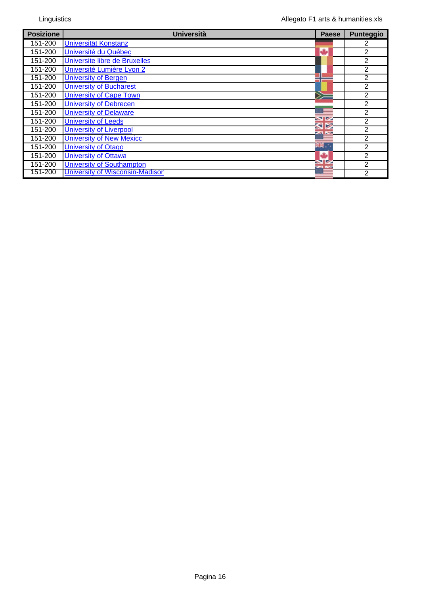| <b>Posizione</b> | <b>Università</b>                      | <b>Paese</b>         | <b>Punteggio</b> |
|------------------|----------------------------------------|----------------------|------------------|
| 151-200          | Universität Konstanz                   |                      | 2                |
| 151-200          | Université du Québec                   |                      | $\mathbf{2}$     |
| 151-200          | Universite libre de Bruxelles          |                      | $\mathbf{2}$     |
| 151-200          | Université Lumière Lyon 2              |                      | $\mathbf{2}$     |
| 151-200          | <b>University of Bergen</b>            |                      | 2                |
| 151-200          | <b>University of Bucharest</b>         |                      | $\mathfrak{p}$   |
| 151-200          | <b>University of Cape Town</b>         |                      | $\overline{2}$   |
| 151-200          | <b>University of Debrecen</b>          |                      | $\overline{2}$   |
| 151-200          | <b>University of Delaware</b>          |                      | $\overline{2}$   |
| 151-200          | <b>University of Leeds</b>             |                      | $\overline{2}$   |
| 151-200          | <b>University of Liverpool</b>         |                      | 2                |
| 151-200          | <b>University of New Mexicc</b>        |                      | $\overline{2}$   |
| 151-200          | <b>University of Otago</b>             | $\frac{2}{\sqrt{2}}$ | $\overline{2}$   |
| 151-200          | <b>University of Ottawa</b>            |                      | $\mathbf{2}$     |
| 151-200          | <b>University of Southampton</b>       |                      | $\overline{2}$   |
| 151-200          | <b>University of Wisconsin-Madison</b> |                      | $\overline{2}$   |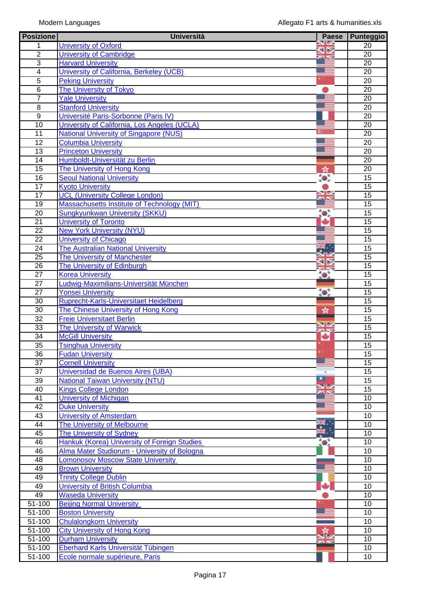| <b>Posizione</b> | <b>Università</b>                             | <b>Paese</b>           | <b>Punteggio</b> |
|------------------|-----------------------------------------------|------------------------|------------------|
|                  | <b>University of Oxford</b>                   |                        | $\overline{20}$  |
| $\overline{2}$   | <b>University of Cambridge</b>                | 9⊠<br><b>Ball Nove</b> | 20               |
| 3                | <b>Harvard University</b>                     |                        | 20               |
| 4                | University of California, Berkeley (UCB)      |                        | 20               |
| $\overline{5}$   | <b>Peking University</b>                      |                        | $\overline{20}$  |
| $\overline{6}$   | The University of Tokyo                       |                        | 20               |
| $\overline{7}$   | <b>Yale University</b>                        |                        | 20               |
| $\overline{8}$   | <b>Stanford University</b>                    |                        | $\overline{20}$  |
| $\overline{9}$   | Université Paris-Sorbonne (Paris IV)          |                        | 20               |
| $\overline{10}$  | University of California, Los Angeles (UCLA)  |                        | 20               |
| $\overline{11}$  | <b>National University of Singapore (NUS)</b> |                        | 20               |
| $\overline{12}$  | <b>Columbia University</b>                    |                        | 20               |
| $\overline{13}$  | <b>Princeton University</b>                   |                        | 20               |
| 14               | Humboldt-Universität zu Berlin                |                        | 20               |
| $\overline{15}$  | The University of Hong Kong                   | $\frac{d}{d\lambda}$   | 20               |
| 16               | <b>Seoul National University</b>              | $\bullet$              | 15               |
| $\overline{17}$  | <b>Kyoto University</b>                       |                        | $\overline{15}$  |
| 17               | <b>UCL (University College London)</b>        | V                      | $\overline{15}$  |
| 19               | Massachusetts Institute of Technology (MIT)   |                        | 15               |
| 20               | <b>Sungkyunkwan University (SKKU)</b>         | to:                    | 15               |
| $\overline{21}$  | University of Toronto                         | ÷                      | 15               |
| $\overline{22}$  | <b>New York University (NYU)</b>              |                        | 15               |
| 22               | <b>University of Chicago</b>                  |                        | 15               |
| 24               | <b>The Australian National University</b>     | ₩.                     | 15               |
| $\overline{25}$  | <b>The University of Manchester</b>           |                        | 15               |
| $\overline{26}$  | The University of Edinburgh                   | za K                   | $\overline{15}$  |
| $\overline{27}$  | <b>Korea University</b>                       | $\bullet$              | 15               |
| 27               | Ludwig-Maximilians-Universität München        |                        | 15               |
| $\overline{27}$  | <b>Yonsei University</b>                      | $\bullet$              | $\overline{15}$  |
| 30               | Ruprecht-Karls-Universitaet Heidelberg        |                        | 15               |
| 30               | The Chinese University of Hong Kong           | 火                      | 15               |
| $\overline{32}$  | <b>Freie Universitaet Berlin</b>              |                        | $\overline{15}$  |
| 33               | <b>The University of Warwick</b>              | ¥                      | $\overline{15}$  |
| 34               | <b>McGill University</b>                      | ÷                      | 15               |
| $\overline{35}$  | <b>Tsinghua University</b>                    |                        | $\overline{15}$  |
| $\overline{36}$  | <b>Fudan University</b>                       |                        | 15               |
| 37               | <b>Cornell University</b>                     |                        | 15               |
| $\overline{37}$  | <b>Universidad de Buenos Aires (UBA)</b>      |                        | 15               |
| $\overline{39}$  | <b>National Taiwan University (NTU)</b>       | ▫                      | $\overline{15}$  |
| 40               | <b>Kings College London</b>                   | $rac{N}{2}$            | $\overline{15}$  |
| 41               | <b>University of Michigan</b>                 |                        | 10               |
| $\overline{42}$  | <b>Duke University</b>                        |                        | 10               |
| 43               | <b>University of Amsterdam</b>                |                        | 10               |
| $\overline{44}$  | The University of Melbourne                   | ₩.                     | 10               |
| 45               | <b>The University of Sydney</b>               |                        | 10               |
| 46               | Hankuk (Korea) University of Foreign Studies  |                        | 10               |
| 46               | Alma Mater Studiorum - University of Bologna  |                        | 10               |
| 48               | <b>Lomonosov Moscow State University</b>      |                        | 10               |
| 49               | <b>Brown University</b>                       |                        | 10               |
| 49               | <b>Trinity College Dublin</b>                 |                        | 10               |
| 49               | <b>University of British Columbia</b>         | ш                      | 10               |
| 49               | <b>Waseda University</b>                      |                        | 10               |
| $51 - 100$       | <b>Beijing Normal University</b>              |                        | 10               |
| 51-100           | <b>Boston University</b>                      |                        | 10               |
| 51-100           | <b>Chulalongkorn University</b>               |                        | 10               |
| 51-100           | <b>City University of Hong Kong</b>           |                        | 10               |
| $51 - 100$       | <b>Durham University</b>                      |                        | 10               |
| $51 - 100$       | Eberhard Karls Universität Tübingen           |                        | 10               |
| 51-100           | Ecole normale supérieure, Paris               |                        | 10               |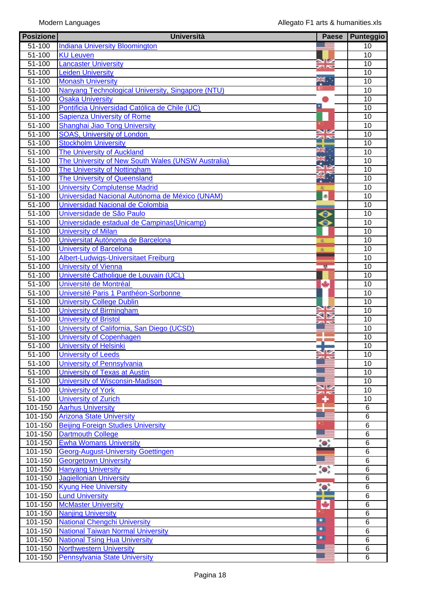| <b>Posizione</b>         | <b>Università</b>                                                   | Paese              | Punteggio       |
|--------------------------|---------------------------------------------------------------------|--------------------|-----------------|
| 51-100                   | <b>Indiana University Bloomington</b>                               |                    | 10              |
| $51 - 100$               | <b>KU Leuven</b>                                                    |                    | 10              |
| $51 - 100$               | <b>Lancaster University</b>                                         | SZ<br><b>ZA NS</b> | 10              |
| 51-100                   | <b>Leiden University</b>                                            |                    | 10              |
| 51-100                   | <b>Monash University</b>                                            |                    | 10              |
| $51 - 100$               | Nanyang Technological University, Singapore (NTU)                   |                    | 10              |
| 51-100                   | <b>Osaka University</b>                                             |                    | 10              |
| 51-100                   | Pontificia Universidad Católica de Chile (UC)                       |                    | 10              |
| 51-100<br>51-100         | <b>Sapienza University of Rome</b><br>Shanghai Jiao Tong University |                    | 10<br>10        |
| 51-100                   | <b>SOAS, University of London</b>                                   |                    | 10              |
| 51-100                   | <b>Stockholm University</b>                                         |                    | 10              |
| 51-100                   | <b>The University of Auckland</b>                                   | жł.                | 10              |
| 51-100                   | The University of New South Wales (UNSW Australia)                  |                    | 10              |
| 51-100                   | <b>The University of Nottingham</b>                                 |                    | 10              |
| $51 - 100$               | The University of Queensland                                        |                    | $\overline{10}$ |
| $51 - 100$               | <b>University Complutense Madrid</b>                                | 凌                  | 10              |
| 51-100                   | Universidad Nacional Autónoma de México (UNAM)                      | <b>a</b>           | 10              |
| 51-100                   | Universidad Nacional de Colombia                                    |                    | $\overline{10}$ |
| $51 - 100$               | Universidade de São Paulo                                           | $\bullet$          | 10              |
| 51-100                   | Universidade estadual de Campinas (Unicamp)                         | ◒                  | 10              |
| 51-100                   | <b>University of Milan</b>                                          |                    | 10              |
| 51-100                   | Universitat Autònoma de Barcelona                                   | 変                  | 10              |
| 51-100                   | <b>University of Barcelona</b>                                      | 変                  | 10              |
| 51-100                   | Albert-Ludwigs-Universitaet Freiburg                                |                    | 10              |
| 51-100                   | <b>University of Vienna</b>                                         | 整                  | 10              |
| 51-100                   | Université Catholique de Louvain (UCL)                              |                    | 10              |
| 51-100                   | Université de Montréal                                              | ٠                  | 10              |
| 51-100                   | Université Paris 1 Panthéon-Sorbonne                                |                    | 10              |
| $51 - 100$               | <b>University College Dublin</b>                                    |                    | 10              |
| $51 - 100$               | <b>University of Birmingham</b>                                     | Μ                  | 10              |
| 51-100                   | <b>University of Bristol</b>                                        |                    | 10              |
| 51-100                   | University of California, San Diego (UCSD)                          |                    | 10              |
| 51-100                   | University of Copenhagen                                            |                    | $\overline{10}$ |
| 51-100                   | <b>University of Helsinki</b>                                       |                    | 10              |
| 51-100                   | <b>University of Leeds</b>                                          |                    | 10              |
| $51 - 100$<br>$51 - 100$ | University of Pennsylvania<br>University of Texas at Austin         |                    | 10<br>10        |
| 51-100                   | <b>University of Wisconsin-Madison</b>                              |                    | 10              |
| 51-100                   | <b>University of York</b>                                           | XX                 | 10              |
| $51 - 100$               | <b>University of Zurich</b>                                         | ۰                  | 10              |
| 101-150                  | <b>Aarhus University</b>                                            |                    | $\overline{6}$  |
| 101-150                  | <b>Arizona State University</b>                                     |                    | 6               |
| 101-150                  | <b>Beijing Foreign Studies University</b>                           |                    | 6               |
| 101-150                  | <b>Dartmouth College</b>                                            |                    | $\overline{6}$  |
| $101 - 150$              | <b>Ewha Womans University</b>                                       | $\bullet$          | 6               |
| 101-150                  | <b>Georg-August-University Goettingen</b>                           |                    | 6               |
| 101-150                  | <b>Georgetown University</b>                                        |                    | 6               |
| 101-150                  | <b>Hanyang University</b>                                           | $\bullet$          | 6               |
| 101-150                  | <b>Jagiellonian University</b>                                      |                    | 6               |
| 101-150                  | <b>Kyung Hee University</b>                                         | $\bullet$          | 6               |
| $101 - 150$              | <b>Lund University</b>                                              |                    | 6               |
| 101-150                  | <b>McMaster University</b>                                          | ۰                  | 6               |
| 101-150                  | <b>Nanjing University</b>                                           |                    | 6               |
| 101-150                  | <b>National Chengchi University</b>                                 | ▫                  | 6               |
| 101-150                  | <b>National Taiwan Normal University</b>                            | ◘                  | $\overline{6}$  |
| 101-150                  | <b>National Tsing Hua University</b>                                | $\blacksquare$     | 6               |
| 101-150                  | <b>Northwestern University</b>                                      |                    | 6               |
| 101-150                  | <b>Pennsylvania State University</b>                                |                    | 6               |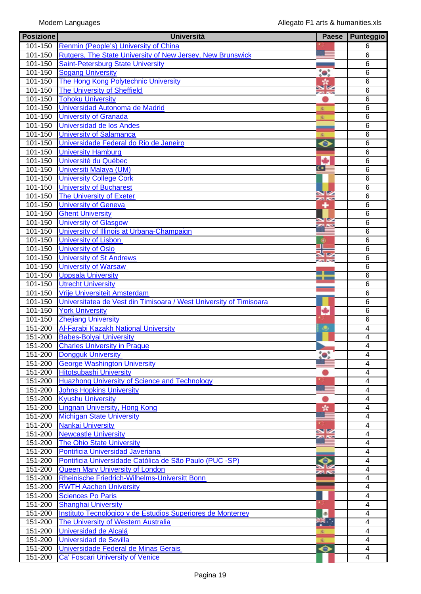| <b>Posizione</b>       | <b>Università</b>                                                  | <b>Paese</b>  | <b>Punteggio</b>    |
|------------------------|--------------------------------------------------------------------|---------------|---------------------|
| 101-150                | Renmin (People's) University of China                              |               | 6                   |
| 101-150                | Rutgers, The State University of New Jersey, New Brunswick         |               | 6                   |
| 101-150                | <b>Saint-Petersburg State University</b>                           |               | $\overline{6}$      |
| 101-150                | <b>Sogang University</b>                                           | $\bullet$     | 6                   |
| 101-150                | The Hong Kong Polytechnic University                               |               | 6                   |
| $101 - 150$            | <b>The University of Sheffield</b>                                 |               | $\overline{6}$      |
| 101-150                | <b>Tohoku University</b>                                           | 23 NS         | 6                   |
| 101-150                | Universidad Autonoma de Madrid                                     | 変             | 6                   |
| 101-150                | <b>University of Granada</b>                                       | 変             | $\overline{6}$      |
| 101-150                | <b>Universidad de los Andes</b>                                    |               | 6                   |
| 101-150                | <b>University of Salamanca</b>                                     | ÷C.           | 6                   |
| 101-150                | Universidade Federal do Rio de Janeiro                             | ⊖             | 6                   |
| 101-150                | <b>University Hamburg</b>                                          |               | $\overline{6}$      |
| 101-150                | Université du Québec                                               | ىك            | 6                   |
| 101-150                |                                                                    | $\bullet$     | 6                   |
|                        | <b>Universiti Malaya (UM)</b>                                      |               |                     |
| 101-150                | <b>University College Cork</b>                                     |               | 6                   |
| 101-150                | <b>University of Bucharest</b>                                     |               | $\overline{6}$      |
| $101 - 150$            | <b>The University of Exeter</b>                                    | XK            | 6                   |
| 101-150                | <b>University of Geneva</b>                                        | ۰             | 6                   |
| 101-150                | <b>Ghent University</b>                                            | <b>STZ</b>    | $\overline{6}$      |
| 101-150                | <b>University of Glasgow</b>                                       |               | 6                   |
| 101-150                | University of Illinois at Urbana-Champaign                         |               | 6                   |
| 101-150                | <b>University of Lisbon</b>                                        | ۰             | $\overline{6}$      |
| 101-150                | <b>University of Oslo</b>                                          |               | 6                   |
| 101-150                | <b>University of St Andrews</b>                                    | <b>Ball</b>   | 6                   |
| 101-150                | <b>University of Warsaw</b>                                        |               | 6                   |
| 101-150                | <b>Uppsala University</b>                                          |               | 6                   |
| 101-150                | <b>Utrecht University</b>                                          |               | 6                   |
| $\overline{101} - 150$ | Vrije Universiteit Amsterdam                                       |               | 6                   |
| 101-150                | Universitatea de Vest din Timisoara / West University of Timisoara |               | 6                   |
| $101 - 150$            | <b>York University</b>                                             | ٠             | $\overline{6}$      |
| 101-150                | <b>Zhejiang University</b>                                         |               | 6                   |
| 151-200                | Al-Farabi Kazakh National University                               | ٠             | $\overline{4}$      |
| 151-200                | <b>Babes-Bolyai University</b>                                     |               | $\overline{4}$      |
| 151-200                | <b>Charles University in Prague</b>                                |               | $\overline{4}$      |
| 151-200                | <b>Dongguk University</b>                                          | $\bullet$ .   | 4                   |
| 151-200                | <b>George Washington University</b>                                |               | $\overline{4}$      |
| 151-200                | <b>Hitotsubashi University</b>                                     |               | 4                   |
| 151-200                | <b>Huazhong University of Science and Technology</b>               |               | 4                   |
| 151-200                | <b>Johns Hopkins University</b>                                    |               | 4                   |
| 151-200                | <b>Kyushu University</b>                                           |               | 4                   |
| 151-200                | <b>Lingnan University, Hong Kong</b>                               | ÷.            | 4                   |
| 151-200                | <b>Michigan State University</b>                                   |               | $\overline{4}$      |
| 151-200                | <b>Nankai University</b>                                           |               | 4                   |
| 151-200                | <b>Newcastle University</b>                                        | NK            | $\overline{4}$      |
| 151-200                | <b>The Ohio State University</b>                                   |               | 4                   |
| 151-200                | Pontificia Universidad Javeriana                                   |               |                     |
|                        |                                                                    |               | 4<br>$\overline{4}$ |
| 151-200                | Pontificia Universidade Católica de São Paulo (PUC -SP)            | $\bm{\Theta}$ |                     |
| 151-200                | Queen Mary University of London                                    |               | $\overline{4}$      |
| 151-200                | Rheinische Friedrich-Wilhelms-Universitt Bonn                      |               | 4                   |
| 151-200                | <b>RWTH Aachen University</b>                                      |               | 4                   |
| 151-200                | <b>Sciences Po Paris</b>                                           |               | 4                   |
| 151-200                | <b>Shanghai University</b>                                         |               | 4                   |
| 151-200                | Instituto Tecnológico y de Estudios Superiores de Monterrey        | ®             | 4                   |
| 151-200                | The University of Western Australia                                | ₩.,           | 4                   |
| 151-200                | Universidad de Alcalá                                              |               | $\overline{4}$      |
| 151-200                | <b>Universidad de Sevilla</b>                                      |               | $\overline{4}$      |
| 151-200                | Universidade Federal de Minas Gerais                               | ♦             | 4                   |
| 151-200                | Ca' Foscari University of Venice                                   |               | 4                   |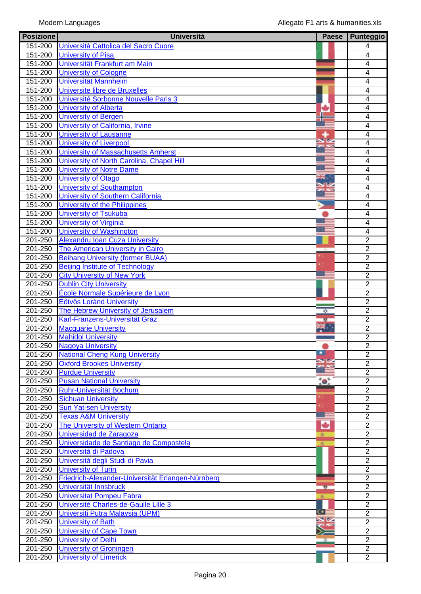| <b>Posizione</b> | <b>Università</b>                                 | <b>Paese</b> | Punteggio      |
|------------------|---------------------------------------------------|--------------|----------------|
| 151-200          | Università Cattolica del Sacro Cuore              |              | 4              |
| $151 - 200$      | <b>University of Pisa</b>                         |              | 4              |
| 151-200          | Universität Frankfurt am Main                     |              | 4              |
| $151 - 200$      | <b>University of Cologne</b>                      |              | 4              |
| 151-200          | <b>Universität Mannheim</b>                       |              | 4              |
| 151-200          | Universite libre de Bruxelles                     |              | 4              |
| 151-200          | Université Sorbonne Nouvelle Paris 3              |              | $\overline{4}$ |
| $151 - 200$      | <b>University of Alberta</b>                      |              | 4              |
|                  |                                                   |              | 4              |
| 151-200          | <b>University of Bergen</b>                       |              |                |
| 151-200          | University of California, Irvine                  |              | $\overline{4}$ |
| 151-200          | University of Lausanne                            |              | $\overline{4}$ |
| 151-200          | <b>University of Liverpool</b>                    |              | $\overline{4}$ |
| 151-200          | University of Massachusetts Amherst               |              | $\overline{4}$ |
| 151-200          | University of North Carolina, Chapel Hill         |              | 4              |
| $151 - 200$      | <b>University of Notre Dame</b>                   |              | 4              |
| $151 - 200$      | <b>University of Otago</b>                        |              | $\overline{4}$ |
| 151-200          | <b>University of Southampton</b>                  |              | $\overline{4}$ |
| $151 - 200$      | University of Southern California                 |              | $\overline{4}$ |
| 151-200          | University of the Philippines                     |              | $\overline{4}$ |
| 151-200          | <b>University of Tsukuba</b>                      |              | 4              |
| 151-200          | <b>University of Virginia</b>                     |              | 4              |
| 151-200          | <b>University of Washington</b>                   |              | $\overline{4}$ |
| 201-250          | <b>Alexandru Ioan Cuza University</b>             |              | $\overline{2}$ |
| 201-250          | The American University in Cairo                  |              | $\overline{2}$ |
| 201-250          | <b>Beihang University (former BUAA)</b>           |              | $\overline{2}$ |
|                  |                                                   |              |                |
| 201-250          | <b>Beijing Institute of Technology</b>            |              | $\overline{2}$ |
| 201-250          | <b>City University of New York</b>                |              | $\overline{2}$ |
| 201-250          | <b>Dublin City University</b>                     |              | $\overline{2}$ |
| 201-250          | École Normale Supérieure de Lyon                  |              | $\overline{2}$ |
| 201-250          | <b>Eötvös Lorànd University</b>                   |              | $\overline{2}$ |
| 201-250          | The Hebrew University of Jerusalem                | ₩            | $\overline{2}$ |
| 201-250          | Karl-Franzens-Universität Graz                    | w            | $\overline{2}$ |
| 201-250          | <b>Macquarie University</b>                       |              | $\overline{2}$ |
| 201-250          | <b>Mahidol University</b>                         |              | $\overline{2}$ |
| 201-250          | <b>Nagoya University</b>                          |              | $\overline{2}$ |
| 201-250          | <b>National Cheng Kung University</b>             |              | $\overline{2}$ |
| 201-250          | <b>Oxford Brookes University</b>                  |              | $\overline{2}$ |
| 201-250          | <b>Purdue University</b>                          |              | $\overline{2}$ |
| 201-250          | <b>Pusan National University</b>                  | $\bullet$    | $\overline{2}$ |
| 201-250          | <b>Ruhr-Universität Bochum</b>                    |              | $\overline{2}$ |
| 201-250          | <b>Sichuan University</b>                         |              | $\overline{2}$ |
| 201-250          | <b>Sun Yat-sen University</b>                     |              | $\overline{2}$ |
| 201-250          | <b>Texas A&amp;M University</b>                   |              | $\overline{2}$ |
| 201-250          |                                                   |              | $\overline{2}$ |
|                  | The University of Western Ontario                 | ٠            |                |
| 201-250          | Universidad de Zaragoza                           | 産            | $\overline{2}$ |
| 201-250          | Universidade de Santiago de Compostela            | 産            | $\overline{2}$ |
| 201-250          | Università di Padova                              |              | $\overline{2}$ |
| 201-250          | Università degli Studi di Pavia                   |              | $\overline{2}$ |
| 201-250          | <b>University of Turin</b>                        |              | $\overline{2}$ |
| 201-250          | Friedrich-Alexander-Universität Erlangen-Nürnberg |              | $\overline{2}$ |
| 201-250          | Universität Innsbruck                             | 整            | $\overline{2}$ |
| 201-250          | <b>Universitat Pompeu Fabra</b>                   |              | $\overline{2}$ |
| 201-250          | Université Charles-de-Gaulle Lille 3              |              | $\overline{2}$ |
| 201-250          | Universiti Putra Malaysia (UPM)                   |              | $\overline{2}$ |
| 201-250          | <b>University of Bath</b>                         | NK<br>R      | $\overline{2}$ |
| 201-250          | <b>University of Cape Town</b>                    |              | $\overline{2}$ |
| 201-250          | <b>University of Delhi</b>                        |              | $\overline{2}$ |
| 201-250          | <b>University of Groningen</b>                    |              | $\overline{2}$ |
|                  |                                                   |              | $\overline{2}$ |
| 201-250          | <b>University of Limerick</b>                     |              |                |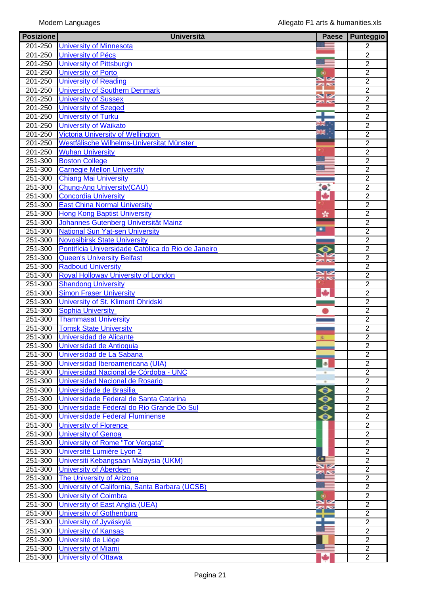| <b>Posizione</b> | <b>Università</b>                                  | <b>Paese</b>                    | Punteggio      |
|------------------|----------------------------------------------------|---------------------------------|----------------|
| 201-250          | <b>University of Minnesota</b>                     |                                 | 2              |
| 201-250          | <b>University of Pécs</b>                          |                                 | $\overline{2}$ |
| 201-250          | <b>University of Pittsburgh</b>                    |                                 | $\overline{2}$ |
| 201-250          | <b>University of Porto</b>                         | $\circ$                         | $\overline{2}$ |
| 201-250          | <b>University of Reading</b>                       | সু<br>ব                         | $\overline{2}$ |
| 201-250          | <b>University of Southern Denmark</b>              |                                 | $\overline{2}$ |
| 201-250          | <b>University of Sussex</b>                        | 92                              | $\overline{2}$ |
| 201-250          | <b>University of Szeged</b>                        |                                 | $\overline{2}$ |
| 201-250          | <b>University of Turku</b>                         |                                 | $\overline{2}$ |
| 201-250          | <b>University of Waikato</b>                       | $\overline{m}$ $\overline{m}$ . | $\overline{2}$ |
|                  |                                                    | Ж.                              |                |
| 201-250          | <b>Victoria University of Wellington</b>           |                                 | $\overline{2}$ |
| 201-250          | Westfälische Wilhelms-Universitat Münster          |                                 | $\overline{2}$ |
| 201-250          | <b>Wuhan University</b>                            |                                 | $\overline{2}$ |
| 251-300          | <b>Boston College</b>                              |                                 | $\overline{2}$ |
| 251-300          | <b>Carnegie Mellon University</b>                  |                                 | $\overline{2}$ |
| 251-300          | <b>Chiang Mai University</b>                       |                                 | $\overline{2}$ |
| 251-300          | <b>Chung-Ang University (CAU)</b>                  | to:                             | $\overline{2}$ |
| 251-300          | <b>Concordia University</b>                        | ÷                               | $\overline{2}$ |
| 251-300          | <b>East China Normal University</b>                |                                 | $\overline{2}$ |
| 251-300          | <b>Hong Kong Baptist University</b>                | ×                               | $\overline{2}$ |
| 251-300          | Johannes Gutenberg Universität Mainz               |                                 | $\overline{2}$ |
| 251-300          | <b>National Sun Yat-sen University</b>             | ∙                               | $\overline{2}$ |
| 251-300          | <b>Novosibirsk State University</b>                |                                 | $\overline{2}$ |
| 251-300          | Pontifícia Universidade Católica do Rio de Janeiro | Θ                               | $\overline{2}$ |
| 251-300          | <b>Queen's University Belfast</b>                  |                                 | $\overline{2}$ |
| 251-300          | <b>Radboud University</b>                          | <b>zako</b>                     | $\overline{2}$ |
| 251-300          | <b>Royal Holloway University of London</b>         | NØ                              | $\overline{2}$ |
| $251 - 300$      | <b>Shandong University</b>                         | <b>SING</b>                     | $\overline{2}$ |
| 251-300          | <b>Simon Fraser University</b>                     | ь                               | $\overline{2}$ |
| 251-300          | University of St. Kliment Ohridski                 |                                 | $\overline{2}$ |
|                  |                                                    |                                 | $\overline{2}$ |
| 251-300          | <b>Sophia University</b>                           |                                 |                |
| $251 - 300$      | <b>Thammasat University</b>                        |                                 | $\overline{2}$ |
| 251-300          | <b>Tomsk State University</b>                      |                                 | $\overline{2}$ |
| 251-300          | Universidad de Alicante                            | 鉴                               | $\overline{2}$ |
| 251-300          | Universidad de Antioquia                           |                                 | $\overline{2}$ |
| 251-300          | Universidad de La Sabana                           |                                 | $\overline{2}$ |
| 251-300          | Universidad Iberoamericana (UIA)                   | ø.                              | $\overline{2}$ |
| 251-300          | Universidad Nacional de Córdoba - UNC              |                                 | $\overline{2}$ |
| $251 - 300$      | Universidad Nacional de Rosario                    |                                 | $\overline{2}$ |
| 251-300          | Universidade de Brasilia                           | $\bullet$                       | $\overline{2}$ |
| 251-300          | Universidade Federal de Santa Catarina             | ◒                               | $\overline{2}$ |
| 251-300          | Universidade Federal do Rio Grande Do Sul          | $\bullet$                       | $\overline{2}$ |
| 251-300          | Universidade Federal Fluminense                    | $\bullet$                       | $\overline{2}$ |
| 251-300          | <b>University of Florence</b>                      |                                 | $\overline{2}$ |
| 251-300          | <b>University of Genoa</b>                         |                                 | $\overline{2}$ |
| 251-300          | <b>University of Rome "Tor Vergata"</b>            |                                 | $\overline{2}$ |
| 251-300          | Université Lumière Lyon 2                          |                                 | $\overline{2}$ |
| 251-300          | Universiti Kebangsaan Malaysia (UKM)               | Œ                               | $\overline{2}$ |
| 251-300          | <b>University of Aberdeen</b>                      |                                 | $\overline{2}$ |
| 251-300          | <b>The University of Arizona</b>                   |                                 | $\overline{2}$ |
| 251-300          |                                                    |                                 | $\overline{2}$ |
|                  | University of California, Santa Barbara (UCSB)     |                                 |                |
| 251-300          | <b>University of Coimbra</b>                       | $\ddot{\mathbf{c}}$             | $\overline{2}$ |
| 251-300          | University of East Anglia (UEA)                    |                                 | $\overline{2}$ |
| 251-300          | <b>University of Gothenburg</b>                    |                                 | $\overline{2}$ |
| 251-300          | University of Jyväskylä                            |                                 | $\overline{2}$ |
| 251-300          | <b>University of Kansas</b>                        |                                 | $\overline{2}$ |
| 251-300          | Université de Liège                                |                                 | $\overline{2}$ |
| 251-300          | <b>University of Miami</b>                         |                                 | $\overline{2}$ |
| 251-300          | <b>University of Ottawa</b>                        |                                 | $\overline{2}$ |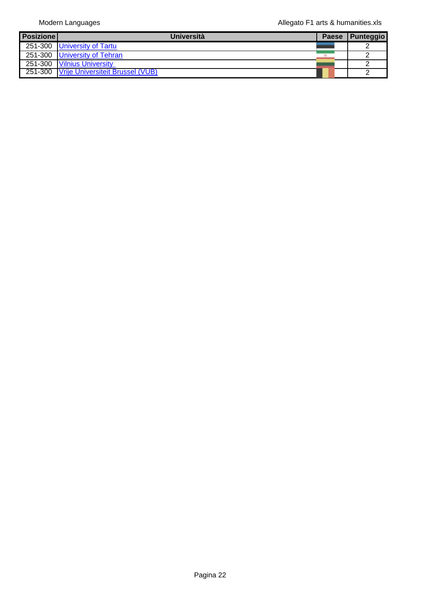| <b>Posizione</b> | <b>Università</b>                        | <b>Paese</b> | Punteggio |
|------------------|------------------------------------------|--------------|-----------|
|                  | 251-300 University of Tartu              |              |           |
|                  | 251-300 University of Tehran             |              |           |
|                  | 251-300 Vilnius University               |              |           |
|                  | 251-300 Vrije Universiteit Brussel (VUB) |              |           |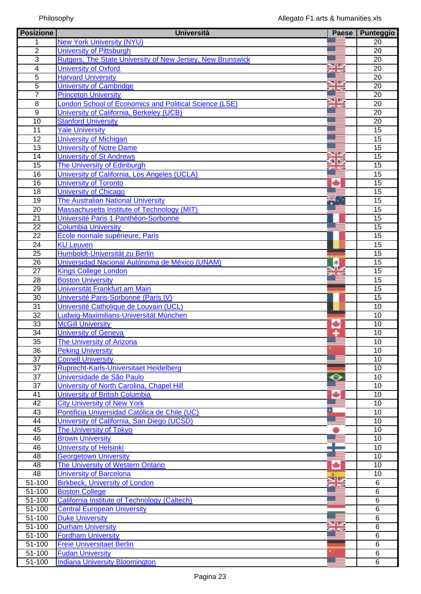| <b>Posizione</b>      | <b>Università</b>                                             | Paese              | <b>Punteggio</b> |
|-----------------------|---------------------------------------------------------------|--------------------|------------------|
| 1                     | <b>New York University (NYU)</b>                              |                    | 20               |
| $\overline{2}$        | <b>University of Pittsburgh</b>                               |                    | $\overline{20}$  |
| $\overline{3}$        | Rutgers, The State University of New Jersey, New Brunswick    |                    | $\overline{20}$  |
| $\overline{4}$        | <b>University of Oxford</b>                                   | NØ<br>za Ko        | 20               |
| $\overline{5}$        | <b>Harvard University</b>                                     |                    | 20               |
| 5                     | <b>University of Cambridge</b>                                | VØ<br><b>ZA NS</b> | $\overline{20}$  |
| $\overline{7}$        | <b>Princeton University</b>                                   |                    | 20               |
| $\overline{8}$        | <b>London School of Economics and Political Science (LSE)</b> | XX                 | 20               |
| $\overline{9}$        | University of California, Berkeley (UCB)                      |                    | $\overline{20}$  |
| $\overline{10}$       | <b>Stanford University</b>                                    |                    | 20               |
| 11                    | <b>Yale University</b>                                        |                    | 15               |
| 12                    | <b>University of Michigan</b>                                 |                    | 15               |
| $\overline{13}$       | <b>University of Notre Dame</b>                               |                    | $\overline{15}$  |
| 14                    | <b>University of St Andrews</b>                               | V                  | 15               |
| 15                    | The University of Edinburgh                                   | ⊲⊳<br><b>ZA NS</b> | 15               |
| 16                    | University of California, Los Angeles (UCLA)                  |                    | $\overline{15}$  |
| 16                    | <b>University of Toronto</b>                                  | ۰                  | $\overline{15}$  |
| 18                    | <b>University of Chicago</b>                                  |                    | 15               |
| 19                    | <b>The Australian National University</b>                     |                    | 15               |
| $\overline{20}$       | Massachusetts Institute of Technology (MIT)                   |                    | $\overline{15}$  |
| 21                    | Université Paris 1 Panthéon-Sorbonne                          |                    | 15               |
| $\overline{22}$       | <b>Columbia University</b>                                    |                    | 15               |
| $\overline{22}$       | Ecole normale supérieure, Paris                               |                    | $\overline{15}$  |
| 24                    | <b>KU Leuven</b>                                              |                    | $\overline{15}$  |
| 25                    | Humboldt-Universität zu Berlin                                |                    | $\overline{15}$  |
| $\overline{26}$       | Universidad Nacional Autónoma de México (UNAM)                | ¢                  | 15               |
| $\overline{27}$       | <b>Kings College London</b>                                   |                    | 15               |
| $\overline{28}$       | <b>Boston University</b>                                      | <b>ZA NO</b>       | 15               |
| $\overline{29}$       | Universität Frankfurt am Main                                 |                    | 15               |
| $\overline{30}$       | Université Paris-Sorbonne (Paris IV)                          |                    | $\overline{15}$  |
| 31                    | Université Catholique de Louvain (UCL)                        |                    | $\overline{10}$  |
| 32                    | Ludwig-Maximilians-Universität München                        |                    | 10               |
| 33                    | <b>McGill University</b>                                      |                    | 10               |
| 34                    | <b>University of Geneva</b>                                   | ٠                  | 10               |
| 35                    | <b>The University of Arizona</b>                              |                    | 10               |
|                       |                                                               |                    |                  |
| 36<br>$\overline{37}$ | <b>Peking University</b>                                      |                    | 10               |
|                       | <b>Cornell University</b>                                     |                    | 10               |
| $\overline{37}$       | Ruprecht-Karls-Universitaet Heidelberg                        |                    | $\overline{10}$  |
| 37                    | Universidade de São Paulo                                     | 8                  | 10               |
| 37                    | University of North Carolina, Chapel Hill                     |                    | 10               |
| 41                    | <b>University of British Columbia</b>                         |                    | 10               |
| $\overline{42}$       | <b>City University of New York</b>                            |                    | 10               |
| 43                    | Pontificia Universidad Católica de Chile (UC)                 |                    | 10               |
| 44                    | University of California, San Diego (UCSD)                    |                    | 10               |
| 45                    | The University of Tokyo                                       |                    | 10               |
| 46                    | <b>Brown University</b>                                       |                    | 10               |
| 46                    | <b>University of Helsinki</b>                                 |                    | 10               |
| 48                    | <b>Georgetown University</b>                                  |                    | 10               |
| 48                    | The University of Western Ontario                             | ٠                  | 10               |
| 48                    | <b>University of Barcelona</b>                                |                    | 10               |
| 51-100                | <b>Birkbeck, University of London</b>                         |                    | 6                |
| 51-100                | <b>Boston College</b>                                         |                    | $\overline{6}$   |
| 51-100                | <b>California Institute of Technology (Caltech)</b>           |                    | $\overline{6}$   |
| 51-100                | <b>Central European University</b>                            |                    | $\overline{6}$   |
| $51 - 100$            | <b>Duke University</b>                                        |                    | 6                |
| $51 - 100$            | <b>Durham University</b>                                      | VZ                 | $\overline{6}$   |
| $\overline{5}$ 1-100  | <b>Fordham University</b>                                     |                    | 6                |
| 51-100                | <b>Freie Universitaet Berlin</b>                              |                    | 6                |
| $51 - 100$            | <b>Fudan University</b>                                       |                    | $\overline{6}$   |
| 51-100                | <b>Indiana University Bloomington</b>                         |                    | 6                |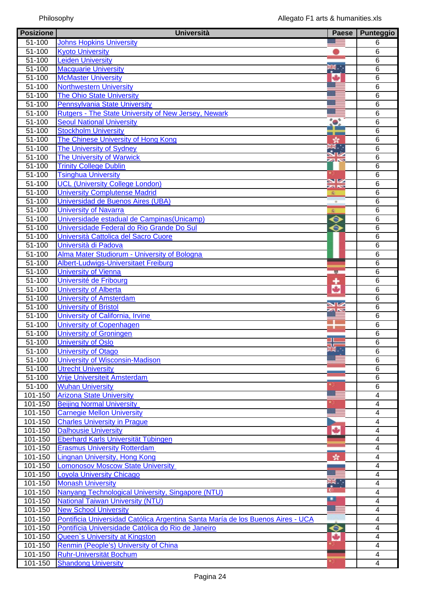| <b>Posizione</b>       | <b>Università</b>                                                               | Paese            | Punteggio           |
|------------------------|---------------------------------------------------------------------------------|------------------|---------------------|
| 51-100                 | <b>Johns Hopkins University</b>                                                 |                  | 6                   |
| 51-100                 | <b>Kyoto University</b>                                                         |                  | $6\phantom{1}6$     |
| 51-100                 | <b>Leiden University</b>                                                        |                  | $6\phantom{1}6$     |
| $51 - 100$             | <b>Macquarie University</b>                                                     | 张                | $6\phantom{1}6$     |
| 51-100                 | <b>McMaster University</b>                                                      | ۰                | 6                   |
| 51-100                 | <b>Northwestern University</b>                                                  |                  | 6                   |
| $51 - 100$             | <b>The Ohio State University</b>                                                |                  | $\,6$               |
| $51 - 100$             | <b>Pennsylvania State University</b>                                            |                  | $\,6$               |
| 51-100                 | Rutgers - The State University of New Jersey, Newark                            |                  | $\overline{6}$      |
| 51-100                 | <b>Seoul National University</b>                                                | $\bullet$        | $6\phantom{1}6$     |
| 51-100                 | <b>Stockholm University</b>                                                     |                  | $\overline{6}$      |
| 51-100                 | The Chinese University of Hong Kong                                             |                  | $\overline{6}$      |
| 51-100                 | <b>The University of Sydney</b>                                                 | 終。               | $\overline{6}$      |
| $51 - 100$             | <b>The University of Warwick</b>                                                |                  | $\overline{6}$      |
| $51 - 100$             | <b>Trinity College Dublin</b>                                                   | <b>24 NS</b>     | $\overline{6}$      |
| 51-100                 | <b>Tsinghua University</b>                                                      |                  | $6\phantom{1}6$     |
| 51-100                 | <b>UCL (University College London)</b>                                          | XK               | $\,6$               |
| $51 - 100$             | <b>University Complutense Madrid</b>                                            |                  | 6                   |
| 51-100                 | Universidad de Buenos Aires (UBA)                                               |                  | $\,6$               |
| 51-100                 | <b>University of Navarra</b>                                                    | 凌                | $\,6$               |
| $51 - 100$             | Universidade estadual de Campinas (Unicamp)                                     | $\ddot{\bullet}$ | $\overline{6}$      |
| $51 - 100$             | Universidade Federal do Rio Grande Do Sul                                       | ⊖                | $\overline{6}$      |
| 51-100                 | Università Cattolica del Sacro Cuore                                            |                  | $6\phantom{1}6$     |
| 51-100                 | Università di Padova                                                            |                  | $6\phantom{1}6$     |
| 51-100                 | Alma Mater Studiorum - University of Bologna                                    |                  | $\overline{6}$      |
| 51-100                 | Albert-Ludwigs-Universitaet Freiburg                                            |                  | $\overline{6}$      |
| 51-100                 | <b>University of Vienna</b>                                                     |                  | $6\phantom{1}6$     |
| $51 - 100$             |                                                                                 | 壁                | $6\phantom{1}6$     |
| $51 - 100$             | Université de Fribourg                                                          | ۰                | $6\phantom{1}6$     |
|                        | <b>University of Alberta</b>                                                    | ۰                |                     |
| 51-100                 | <b>University of Amsterdam</b>                                                  | <b>N</b>         | 6                   |
| 51-100                 | <b>University of Bristol</b>                                                    |                  | 6<br>$\overline{6}$ |
| $51 - 100$             | University of California, Irvine<br><b>University of Copenhagen</b>             |                  |                     |
| $51 - 100$             |                                                                                 |                  | $6\phantom{1}6$     |
| $51 - 100$             | <b>University of Groningen</b>                                                  |                  | $\,6$               |
| $51 - 100$             | <b>University of Oslo</b>                                                       | $\frac{1}{2}$    | $\overline{6}$      |
| 51-100                 | <b>University of Otago</b>                                                      |                  | $\,6$               |
| 51-100                 | University of Wisconsin-Madison                                                 |                  | $6\phantom{1}6$     |
| 51-100                 | <b>Utrecht University</b>                                                       |                  | $\overline{6}$      |
| 51-100                 | Vrije Universiteit Amsterdam                                                    |                  | $\,6$               |
| $51 - 100$             | <b>Wuhan University</b>                                                         |                  | $\overline{6}$      |
| $\overline{101} - 150$ | <b>Arizona State University</b>                                                 |                  | 4                   |
| 101-150                | <b>Beijing Normal University</b>                                                |                  | 4                   |
| $101 - 150$            | <b>Carnegie Mellon University</b>                                               |                  | $\overline{4}$      |
| 101-150                | <b>Charles University in Prague</b>                                             |                  | $\overline{4}$      |
| 101-150                | <b>Dalhousie University</b>                                                     | ۰                | $\overline{4}$      |
| $101 - 150$            | Eberhard Karls Universität Tübingen                                             |                  | $\overline{4}$      |
| $101 - 150$            | <b>Erasmus University Rotterdam</b>                                             |                  | 4                   |
| 101-150                | <b>Lingnan University, Hong Kong</b>                                            | Y.               | $\overline{4}$      |
| $101 - 150$            | <b>Lomonosov Moscow State University</b>                                        |                  | $\overline{4}$      |
| 101-150                | <b>Loyola University Chicago</b>                                                |                  | $\overline{4}$      |
| 101-150                | <b>Monash University</b>                                                        | ₩.,              | $\overline{4}$      |
| 101-150                | Nanyang Technological University, Singapore (NTU)                               |                  | $\overline{4}$      |
| $101 - 150$            | National Taiwan University (NTU)                                                | ▫                | 4                   |
| 101-150                | <b>New School University</b>                                                    | $\sim$           | 4                   |
| 101-150                | Pontificia Universidad Católica Argentina Santa María de los Buenos Aires - UCA |                  | $\overline{4}$      |
| 101-150                | Pontifícia Universidade Católica do Rio de Janeiro                              | ◆                | $\overline{4}$      |
| $101 - 150$            | Queen's University at Kingston                                                  | ÷                | $\overline{4}$      |
| $101 - 150$            | Renmin (People's) University of China                                           |                  | $\overline{4}$      |
| 101-150                | <b>Ruhr-Universität Bochum</b>                                                  |                  | 4                   |
| 101-150                | <b>Shandong University</b>                                                      |                  | $\overline{4}$      |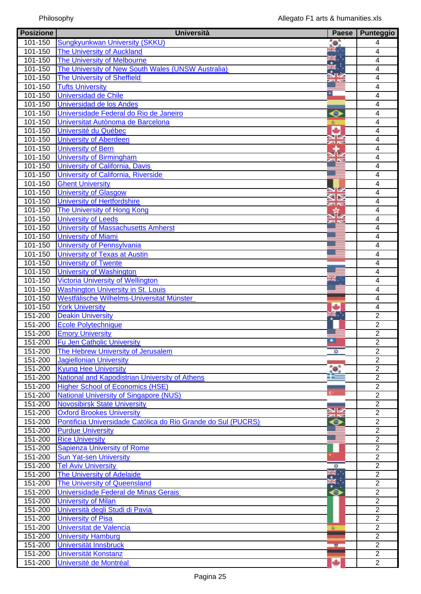| <b>Posizione</b>       | <b>Università</b>                                             | <b>Paese</b>   | Punteggio               |
|------------------------|---------------------------------------------------------------|----------------|-------------------------|
| 101-150                | Sungkyunkwan University (SKKU)                                | 0              | 4                       |
| 101-150                | <b>The University of Auckland</b>                             | HE.            | 4                       |
| 101-150                | <b>The University of Melbourne</b>                            | ¥.<br>Na       | 4                       |
| 101-150                | The University of New South Wales (UNSW Australia)            |                | 4                       |
| $\overline{101} - 150$ | <b>The University of Sheffield</b>                            | 23 N           | 4                       |
| 101-150                | <b>Tufts University</b>                                       |                | 4                       |
| 101-150                | <b>Universidad de Chile</b>                                   | ٠              | 4                       |
| $101 - 150$            | Universidad de los Andes                                      |                | 4                       |
| 101-150                | Universidade Federal do Rio de Janeiro                        | ◒              | 4                       |
| 101-150                | Universitat Autònoma de Barcelona                             |                | 4                       |
| 101-150                | Université du Québec                                          |                | 4                       |
| 101-150                | <b>University of Aberdeen</b>                                 |                | 4                       |
| 101-150                | <b>University of Bern</b>                                     | za Ko          | 4                       |
| $101 - 150$            | <b>University of Birmingham</b>                               |                | 4                       |
| 101-150                | University of California, Davis                               |                | 4                       |
| $\overline{101} - 150$ | University of California, Riverside                           |                | 4                       |
| $\overline{101} - 150$ | <b>Ghent University</b>                                       |                | 4                       |
| 101-150                | <b>University of Glasgow</b>                                  |                | 4                       |
| 101-150                | University of Hertfordshire                                   | ⋖⋗             | 4                       |
| 101-150                | The University of Hong Kong                                   | za Ko          | 4                       |
| 101-150                | <b>University of Leeds</b>                                    |                | 4                       |
|                        |                                                               |                |                         |
| $101 - 150$            | <b>University of Massachusetts Amherst</b>                    |                | 4                       |
| 101-150                | <b>University of Miami</b>                                    |                | 4                       |
| 101-150                | University of Pennsylvania                                    |                | 4                       |
| 101-150                | <b>University of Texas at Austin</b>                          |                | 4                       |
| 101-150                | <b>University of Twente</b>                                   |                | 4                       |
| 101-150                | <b>University of Washington</b>                               | Ш.             | 4                       |
| 101-150                | <b>Victoria University of Wellington</b>                      |                | 4                       |
| 101-150                | <b>Washington University in St. Louis</b>                     |                | 4                       |
| $\overline{101} - 150$ | Westfälische Wilhelms-Universitat Münster                     |                | 4                       |
| 101-150                | <b>York University</b>                                        | ٠              | $\overline{\mathbf{4}}$ |
| 151-200                | <b>Deakin University</b>                                      | $\mathbb{R}$ . | $\overline{2}$          |
| 151-200                | <b>Ecole Polytechnique</b>                                    |                | $\overline{2}$          |
| 151-200                | <b>Emory University</b>                                       |                | $\overline{2}$          |
| 151-200                | <b>Fu Jen Catholic University</b>                             |                | $\overline{2}$          |
| 151-200                | The Hebrew University of Jerusalem                            | ₩              | $\overline{2}$          |
| 151-200                | <b>Jagiellonian University</b>                                |                | $\overline{2}$          |
| 151-200                | <b>Kyung Hee University</b>                                   |                | $\overline{2}$          |
| 151-200                | National and Kapodistrian University of Athens                |                | $\overline{2}$          |
| 151-200                | <b>Higher School of Economics (HSE)</b>                       |                | $\overline{2}$          |
| 151-200                | <b>National University of Singapore (NUS)</b>                 |                | $\overline{2}$          |
| 151-200                | <b>Novosibirsk State University</b>                           |                | $\overline{2}$          |
| 151-200                | <b>Oxford Brookes University</b>                              | $rac{N}{2}$    | $\overline{2}$          |
| $151 - 200$            | Pontificia Universidade Católica do Rio Grande do Sul (PUCRS) | $\bm{\circ}$   | $\overline{2}$          |
| 151-200                | <b>Purdue University</b>                                      |                | $\overline{2}$          |
| 151-200                | <b>Rice University</b>                                        |                | $\overline{2}$          |
| 151-200                | <b>Sapienza University of Rome</b>                            |                | $\overline{2}$          |
| 151-200                | <b>Sun Yat-sen University</b>                                 |                | $\overline{2}$          |
| 151-200                | <b>Tel Aviv University</b>                                    | ₩              | $\overline{2}$          |
| 151-200                | <b>The University of Adelaide</b>                             |                | $\overline{2}$          |
| 151-200                | The University of Queensland                                  | $\frac{1}{2}$  | $\overline{2}$          |
| $151 - 200$            | Universidade Federal de Minas Gerais                          | ◆              | $\overline{2}$          |
| $151 - 200$            | <b>University of Milan</b>                                    |                | $\overline{2}$          |
| 151-200                | Università degli Studi di Pavia                               |                | $\overline{2}$          |
| 151-200                | <b>University of Pisa</b>                                     |                | $\overline{2}$          |
| 151-200                | Universitat de Valencia                                       | s.             | $\overline{2}$          |
| 151-200                | <b>University Hamburg</b>                                     |                | $\overline{2}$          |
| 151-200                | Universität Innsbruck                                         |                | $\overline{2}$          |
| 151-200                | Universität Konstanz                                          | 整              | $\overline{2}$          |
| 151-200                |                                                               |                | $\overline{2}$          |
|                        | Université de Montréal                                        |                |                         |